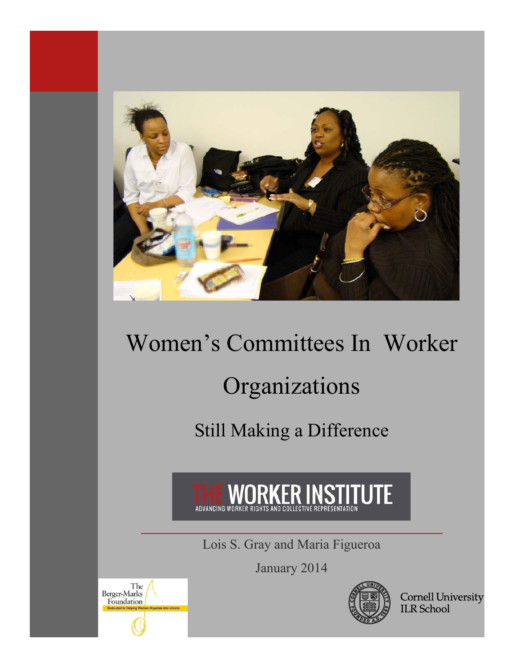

# Women's Committees In Worker

# Organizations

Still Making a Difference



Lois S. Gray and Maria Figueroa

January 2014



Cornell University<br>ILR School

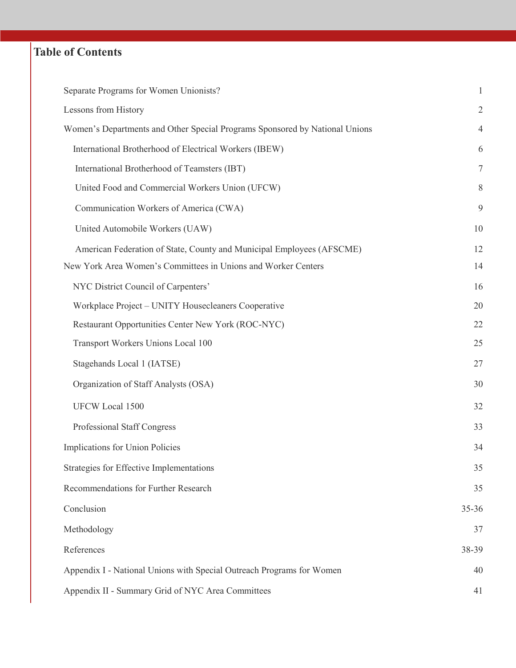# **Table of Contents**

| Separate Programs for Women Unionists?                                      | $\mathbf{1}$   |  |  |  |
|-----------------------------------------------------------------------------|----------------|--|--|--|
| Lessons from History                                                        | $\overline{2}$ |  |  |  |
| Women's Departments and Other Special Programs Sponsored by National Unions | 4              |  |  |  |
| International Brotherhood of Electrical Workers (IBEW)                      | 6              |  |  |  |
| International Brotherhood of Teamsters (IBT)                                | $\tau$         |  |  |  |
| United Food and Commercial Workers Union (UFCW)                             | 8              |  |  |  |
| Communication Workers of America (CWA)                                      | 9              |  |  |  |
| United Automobile Workers (UAW)                                             | 10             |  |  |  |
| American Federation of State, County and Municipal Employees (AFSCME)       | 12             |  |  |  |
| New York Area Women's Committees in Unions and Worker Centers               | 14             |  |  |  |
| NYC District Council of Carpenters'                                         | 16             |  |  |  |
| Workplace Project - UNITY Housecleaners Cooperative                         | 20             |  |  |  |
| Restaurant Opportunities Center New York (ROC-NYC)                          | 22             |  |  |  |
| Transport Workers Unions Local 100                                          | 25             |  |  |  |
| Stagehands Local 1 (IATSE)                                                  | 27             |  |  |  |
| Organization of Staff Analysts (OSA)                                        | 30             |  |  |  |
| UFCW Local 1500                                                             | 32             |  |  |  |
| Professional Staff Congress                                                 | 33             |  |  |  |
| Implications for Union Policies                                             | 34             |  |  |  |
| Strategies for Effective Implementations                                    | 35             |  |  |  |
| Recommendations for Further Research                                        | 35             |  |  |  |
| Conclusion                                                                  | $35 - 36$      |  |  |  |
| Methodology                                                                 | 37             |  |  |  |
| References                                                                  | 38-39          |  |  |  |
| Appendix I - National Unions with Special Outreach Programs for Women       | 40             |  |  |  |
| Appendix II - Summary Grid of NYC Area Committees                           |                |  |  |  |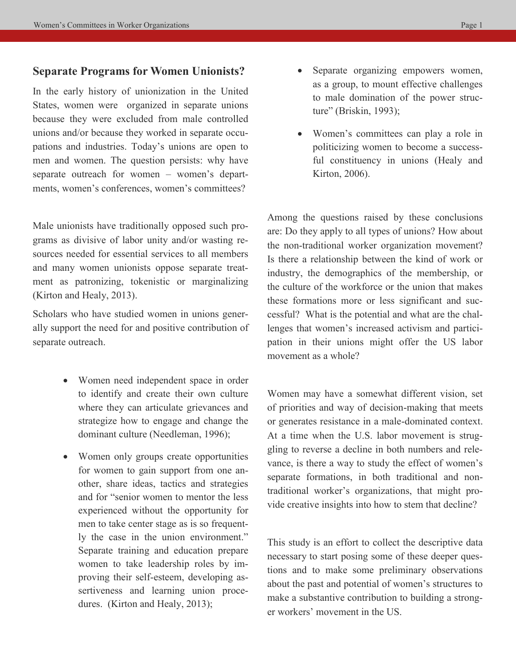### **Separate Programs for Women Unionists?**

In the early history of unionization in the United States, women were organized in separate unions because they were excluded from male controlled unions and/or because they worked in separate occupations and industries. Today's unions are open to men and women. The question persists: why have separate outreach for women – women's departments, women's conferences, women's committees?

Male unionists have traditionally opposed such programs as divisive of labor unity and/or wasting resources needed for essential services to all members and many women unionists oppose separate treatment as patronizing, tokenistic or marginalizing (Kirton and Healy, 2013).

Scholars who have studied women in unions generally support the need for and positive contribution of separate outreach.

- Women need independent space in order to identify and create their own culture where they can articulate grievances and strategize how to engage and change the dominant culture (Needleman, 1996);
- Women only groups create opportunities for women to gain support from one another, share ideas, tactics and strategies and for "senior women to mentor the less experienced without the opportunity for men to take center stage as is so frequently the case in the union environment." Separate training and education prepare women to take leadership roles by improving their self-esteem, developing assertiveness and learning union procedures. (Kirton and Healy, 2013);
- Separate organizing empowers women, as a group, to mount effective challenges to male domination of the power structure" (Briskin, 1993);
- Women's committees can play a role in politicizing women to become a successful constituency in unions (Healy and Kirton, 2006).

Among the questions raised by these conclusions are: Do they apply to all types of unions? How about the non-traditional worker organization movement? Is there a relationship between the kind of work or industry, the demographics of the membership, or the culture of the workforce or the union that makes these formations more or less significant and successful? What is the potential and what are the challenges that women's increased activism and participation in their unions might offer the US labor movement as a whole?

Women may have a somewhat different vision, set of priorities and way of decision-making that meets or generates resistance in a male-dominated context. At a time when the U.S. labor movement is struggling to reverse a decline in both numbers and relevance, is there a way to study the effect of women's separate formations, in both traditional and nontraditional worker's organizations, that might provide creative insights into how to stem that decline?

This study is an effort to collect the descriptive data necessary to start posing some of these deeper questions and to make some preliminary observations about the past and potential of women's structures to make a substantive contribution to building a stronger workers' movement in the US.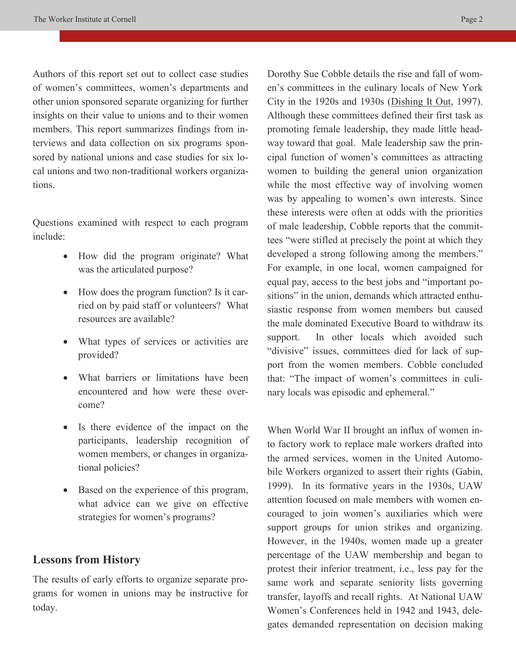Authors of this report set out to collect case studies of women's committees, women's departments and other union sponsored separate organizing for further insights on their value to unions and to their women members. This report summarizes findings from interviews and data collection on six programs sponsored by national unions and case studies for six local unions and two non-traditional workers organizations.

Questions examined with respect to each program include:

- How did the program originate? What was the articulated purpose?
- How does the program function? Is it carried on by paid staff or volunteers? What resources are available?
- What types of services or activities are provided?
- What barriers or limitations have been encountered and how were these overcome?
- Is there evidence of the impact on the participants, leadership recognition of women members, or changes in organizational policies?
- Based on the experience of this program, what advice can we give on effective strategies for women's programs?

## **Lessons from History**

The results of early efforts to organize separate programs for women in unions may be instructive for today.

Dorothy Sue Cobble details the rise and fall of women's committees in the culinary locals of New York City in the 1920s and 1930s (Dishing It Out, 1997). Although these committees defined their first task as promoting female leadership, they made little headway toward that goal. Male leadership saw the principal function of women's committees as attracting women to building the general union organization while the most effective way of involving women was by appealing to women's own interests. Since these interests were often at odds with the priorities of male leadership, Cobble reports that the committees "were stifled at precisely the point at which they developed a strong following among the members." For example, in one local, women campaigned for equal pay, access to the best jobs and "important positions" in the union, demands which attracted enthusiastic response from women members but caused the male dominated Executive Board to withdraw its support. In other locals which avoided such "divisive" issues, committees died for lack of support from the women members. Cobble concluded that: "The impact of women's committees in culinary locals was episodic and ephemeral."

When World War II brought an influx of women into factory work to replace male workers drafted into the armed services, women in the United Automobile Workers organized to assert their rights (Gabin, 1999). In its formative years in the 1930s, UAW attention focused on male members with women encouraged to join women's auxiliaries which were support groups for union strikes and organizing. However, in the 1940s, women made up a greater percentage of the UAW membership and began to protest their inferior treatment, i.e., less pay for the same work and separate seniority lists governing transfer, layoffs and recall rights. At National UAW Women's Conferences held in 1942 and 1943, delegates demanded representation on decision making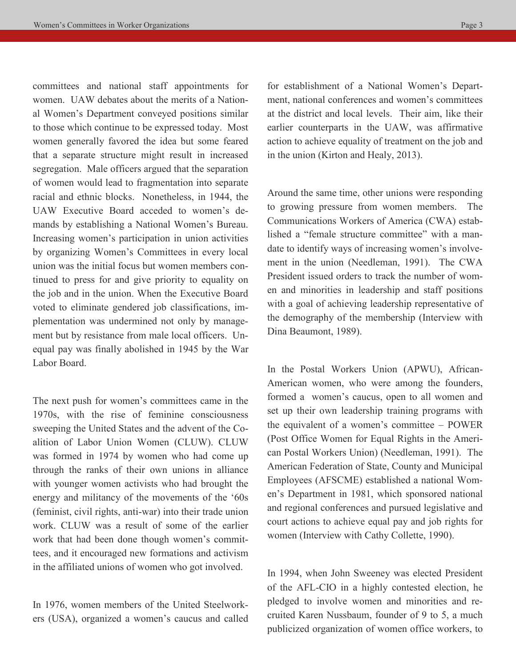committees and national staff appointments for women. UAW debates about the merits of a National Women's Department conveyed positions similar to those which continue to be expressed today. Most women generally favored the idea but some feared that a separate structure might result in increased segregation. Male officers argued that the separation of women would lead to fragmentation into separate racial and ethnic blocks. Nonetheless, in 1944, the UAW Executive Board acceded to women's demands by establishing a National Women's Bureau. Increasing women's participation in union activities by organizing Women's Committees in every local union was the initial focus but women members continued to press for and give priority to equality on the job and in the union. When the Executive Board voted to eliminate gendered job classifications, implementation was undermined not only by management but by resistance from male local officers. Unequal pay was finally abolished in 1945 by the War Labor Board.

The next push for women's committees came in the 1970s, with the rise of feminine consciousness sweeping the United States and the advent of the Coalition of Labor Union Women (CLUW). CLUW was formed in 1974 by women who had come up through the ranks of their own unions in alliance with younger women activists who had brought the energy and militancy of the movements of the '60s (feminist, civil rights, anti-war) into their trade union work. CLUW was a result of some of the earlier work that had been done though women's committees, and it encouraged new formations and activism in the affiliated unions of women who got involved.

In 1976, women members of the United Steelworkers (USA), organized a women's caucus and called

for establishment of a National Women's Department, national conferences and women's committees at the district and local levels. Their aim, like their earlier counterparts in the UAW, was affirmative action to achieve equality of treatment on the job and in the union (Kirton and Healy, 2013).

Around the same time, other unions were responding to growing pressure from women members. The Communications Workers of America (CWA) established a "female structure committee" with a mandate to identify ways of increasing women's involvement in the union (Needleman, 1991). The CWA President issued orders to track the number of women and minorities in leadership and staff positions with a goal of achieving leadership representative of the demography of the membership (Interview with Dina Beaumont, 1989).

In the Postal Workers Union (APWU), African-American women, who were among the founders, formed a women's caucus, open to all women and set up their own leadership training programs with the equivalent of a women's committee – POWER (Post Office Women for Equal Rights in the American Postal Workers Union) (Needleman, 1991). The American Federation of State, County and Municipal Employees (AFSCME) established a national Women's Department in 1981, which sponsored national and regional conferences and pursued legislative and court actions to achieve equal pay and job rights for women (Interview with Cathy Collette, 1990).

In 1994, when John Sweeney was elected President of the AFL-CIO in a highly contested election, he pledged to involve women and minorities and recruited Karen Nussbaum, founder of 9 to 5, a much publicized organization of women office workers, to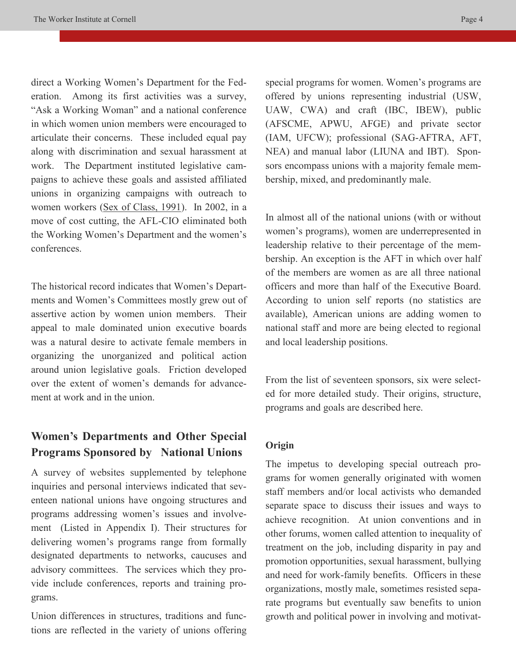direct a Working Women's Department for the Federation. Among its first activities was a survey, "Ask a Working Woman" and a national conference in which women union members were encouraged to articulate their concerns. These included equal pay along with discrimination and sexual harassment at work. The Department instituted legislative campaigns to achieve these goals and assisted affiliated unions in organizing campaigns with outreach to women workers (Sex of Class, 1991). In 2002, in a move of cost cutting, the AFL-CIO eliminated both the Working Women's Department and the women's conferences.

The historical record indicates that Women's Departments and Women's Committees mostly grew out of assertive action by women union members. Their appeal to male dominated union executive boards was a natural desire to activate female members in organizing the unorganized and political action around union legislative goals. Friction developed over the extent of women's demands for advancement at work and in the union.

# **Women's Departments and Other Special Programs Sponsored by National Unions**

A survey of websites supplemented by telephone inquiries and personal interviews indicated that seventeen national unions have ongoing structures and programs addressing women's issues and involvement (Listed in Appendix I). Their structures for delivering women's programs range from formally designated departments to networks, caucuses and advisory committees. The services which they provide include conferences, reports and training programs.

Union differences in structures, traditions and functions are reflected in the variety of unions offering special programs for women. Women's programs are offered by unions representing industrial (USW, UAW, CWA) and craft (IBC, IBEW), public (AFSCME, APWU, AFGE) and private sector (IAM, UFCW); professional (SAG-AFTRA, AFT, NEA) and manual labor (LIUNA and IBT). Sponsors encompass unions with a majority female membership, mixed, and predominantly male.

In almost all of the national unions (with or without women's programs), women are underrepresented in leadership relative to their percentage of the membership. An exception is the AFT in which over half of the members are women as are all three national officers and more than half of the Executive Board. According to union self reports (no statistics are available), American unions are adding women to national staff and more are being elected to regional and local leadership positions.

From the list of seventeen sponsors, six were selected for more detailed study. Their origins, structure, programs and goals are described here.

## **Origin**

The impetus to developing special outreach programs for women generally originated with women staff members and/or local activists who demanded separate space to discuss their issues and ways to achieve recognition. At union conventions and in other forums, women called attention to inequality of treatment on the job, including disparity in pay and promotion opportunities, sexual harassment, bullying and need for work-family benefits. Officers in these organizations, mostly male, sometimes resisted separate programs but eventually saw benefits to union growth and political power in involving and motivat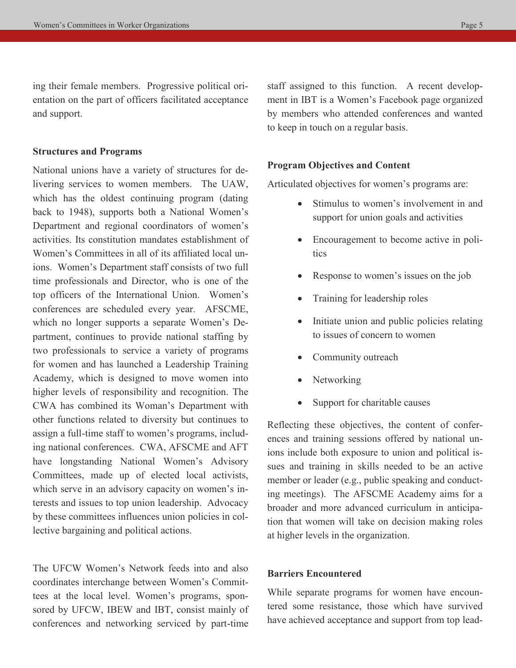ing their female members. Progressive political orientation on the part of officers facilitated acceptance and support.

### **Structures and Programs**

National unions have a variety of structures for delivering services to women members. The UAW, which has the oldest continuing program (dating back to 1948), supports both a National Women's Department and regional coordinators of women's activities. Its constitution mandates establishment of Women's Committees in all of its affiliated local unions. Women's Department staff consists of two full time professionals and Director, who is one of the top officers of the International Union. Women's conferences are scheduled every year. AFSCME, which no longer supports a separate Women's Department, continues to provide national staffing by two professionals to service a variety of programs for women and has launched a Leadership Training Academy, which is designed to move women into higher levels of responsibility and recognition. The CWA has combined its Woman's Department with other functions related to diversity but continues to assign a full-time staff to women's programs, including national conferences. CWA, AFSCME and AFT have longstanding National Women's Advisory Committees, made up of elected local activists, which serve in an advisory capacity on women's interests and issues to top union leadership. Advocacy by these committees influences union policies in collective bargaining and political actions.

The UFCW Women's Network feeds into and also coordinates interchange between Women's Committees at the local level. Women's programs, sponsored by UFCW, IBEW and IBT, consist mainly of conferences and networking serviced by part-time

staff assigned to this function. A recent development in IBT is a Women's Facebook page organized by members who attended conferences and wanted to keep in touch on a regular basis.

### **Program Objectives and Content**

Articulated objectives for women's programs are:

- Stimulus to women's involvement in and support for union goals and activities
- Encouragement to become active in politics
- Response to women's issues on the job
- Training for leadership roles
- Initiate union and public policies relating to issues of concern to women
- Community outreach
- Networking
- Support for charitable causes

Reflecting these objectives, the content of conferences and training sessions offered by national unions include both exposure to union and political issues and training in skills needed to be an active member or leader (e.g., public speaking and conducting meetings). The AFSCME Academy aims for a broader and more advanced curriculum in anticipation that women will take on decision making roles at higher levels in the organization.

### **Barriers Encountered**

While separate programs for women have encountered some resistance, those which have survived have achieved acceptance and support from top lead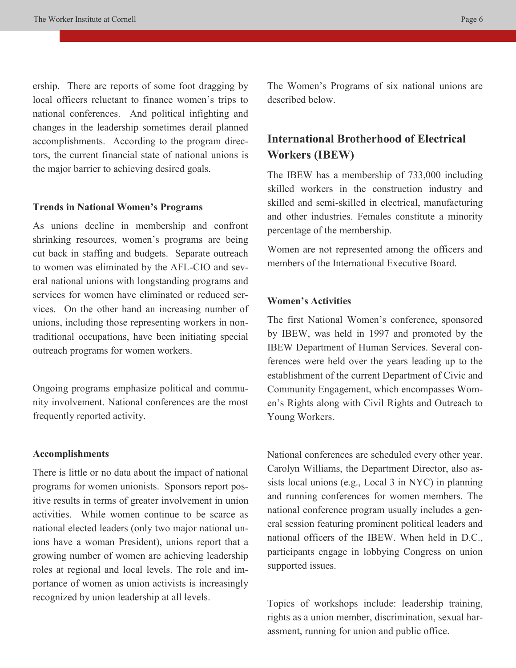ership. There are reports of some foot dragging by local officers reluctant to finance women's trips to national conferences. And political infighting and changes in the leadership sometimes derail planned accomplishments. According to the program directors, the current financial state of national unions is the major barrier to achieving desired goals.

#### **Trends in National Women's Programs**

As unions decline in membership and confront shrinking resources, women's programs are being cut back in staffing and budgets. Separate outreach to women was eliminated by the AFL-CIO and several national unions with longstanding programs and services for women have eliminated or reduced services. On the other hand an increasing number of unions, including those representing workers in nontraditional occupations, have been initiating special outreach programs for women workers.

Ongoing programs emphasize political and community involvement. National conferences are the most frequently reported activity.

### **Accomplishments**

There is little or no data about the impact of national programs for women unionists. Sponsors report positive results in terms of greater involvement in union activities. While women continue to be scarce as national elected leaders (only two major national unions have a woman President), unions report that a growing number of women are achieving leadership roles at regional and local levels. The role and importance of women as union activists is increasingly recognized by union leadership at all levels.

The Women's Programs of six national unions are described below.

# **International Brotherhood of Electrical Workers (IBEW)**

The IBEW has a membership of 733,000 including skilled workers in the construction industry and skilled and semi-skilled in electrical, manufacturing and other industries. Females constitute a minority percentage of the membership.

Women are not represented among the officers and members of the International Executive Board.

### **Women's Activities**

The first National Women's conference, sponsored by IBEW, was held in 1997 and promoted by the IBEW Department of Human Services. Several conferences were held over the years leading up to the establishment of the current Department of Civic and Community Engagement, which encompasses Women's Rights along with Civil Rights and Outreach to Young Workers.

National conferences are scheduled every other year. Carolyn Williams, the Department Director, also assists local unions (e.g., Local 3 in NYC) in planning and running conferences for women members. The national conference program usually includes a general session featuring prominent political leaders and national officers of the IBEW. When held in D.C., participants engage in lobbying Congress on union supported issues.

Topics of workshops include: leadership training, rights as a union member, discrimination, sexual harassment, running for union and public office.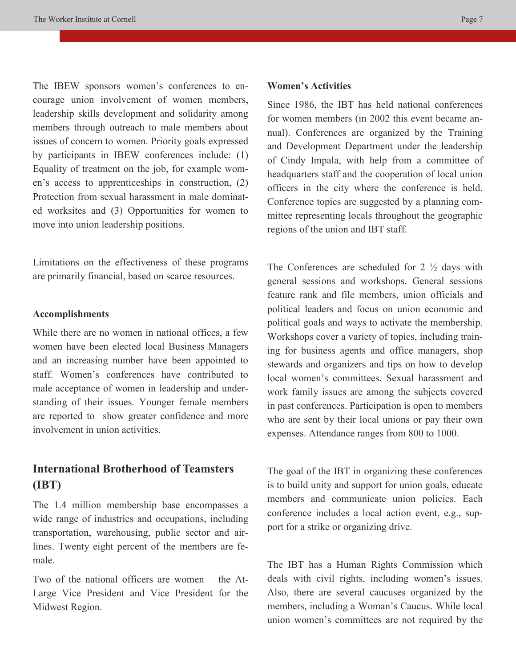The IBEW sponsors women's conferences to encourage union involvement of women members, leadership skills development and solidarity among members through outreach to male members about issues of concern to women. Priority goals expressed by participants in IBEW conferences include: (1) Equality of treatment on the job, for example women's access to apprenticeships in construction, (2) Protection from sexual harassment in male dominated worksites and (3) Opportunities for women to move into union leadership positions.

Limitations on the effectiveness of these programs are primarily financial, based on scarce resources.

#### **Accomplishments**

While there are no women in national offices, a few women have been elected local Business Managers and an increasing number have been appointed to staff. Women's conferences have contributed to male acceptance of women in leadership and understanding of their issues. Younger female members are reported to show greater confidence and more involvement in union activities.

# **International Brotherhood of Teamsters (IBT)**

The 1.4 million membership base encompasses a wide range of industries and occupations, including transportation, warehousing, public sector and airlines. Twenty eight percent of the members are female.

Two of the national officers are women – the At-Large Vice President and Vice President for the Midwest Region.

### **Women's Activities**

Since 1986, the IBT has held national conferences for women members (in 2002 this event became annual). Conferences are organized by the Training and Development Department under the leadership of Cindy Impala, with help from a committee of headquarters staff and the cooperation of local union officers in the city where the conference is held. Conference topics are suggested by a planning committee representing locals throughout the geographic regions of the union and IBT staff.

The Conferences are scheduled for  $2 \frac{1}{2}$  days with general sessions and workshops. General sessions feature rank and file members, union officials and political leaders and focus on union economic and political goals and ways to activate the membership. Workshops cover a variety of topics, including training for business agents and office managers, shop stewards and organizers and tips on how to develop local women's committees. Sexual harassment and work family issues are among the subjects covered in past conferences. Participation is open to members who are sent by their local unions or pay their own expenses. Attendance ranges from 800 to 1000.

The goal of the IBT in organizing these conferences is to build unity and support for union goals, educate members and communicate union policies. Each conference includes a local action event, e.g., support for a strike or organizing drive.

The IBT has a Human Rights Commission which deals with civil rights, including women's issues. Also, there are several caucuses organized by the members, including a Woman's Caucus. While local union women's committees are not required by the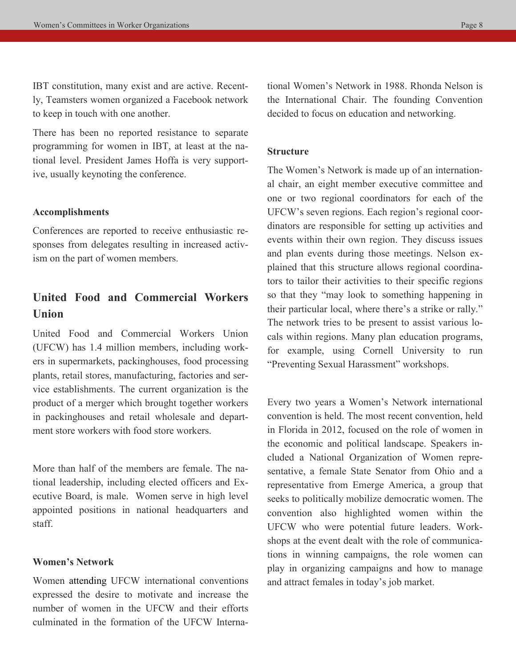IBT constitution, many exist and are active. Recently, Teamsters women organized a Facebook network to keep in touch with one another.

There has been no reported resistance to separate programming for women in IBT, at least at the national level. President James Hoffa is very supportive, usually keynoting the conference.

### **Accomplishments**

Conferences are reported to receive enthusiastic responses from delegates resulting in increased activism on the part of women members.

# **United Food and Commercial Workers Union**

United Food and Commercial Workers Union (UFCW) has 1.4 million members, including workers in supermarkets, packinghouses, food processing plants, retail stores, manufacturing, factories and service establishments. The current organization is the product of a merger which brought together workers in packinghouses and retail wholesale and department store workers with food store workers.

More than half of the members are female. The national leadership, including elected officers and Executive Board, is male. Women serve in high level appointed positions in national headquarters and staff.

### **Women's Network**

Women attending UFCW international conventions expressed the desire to motivate and increase the number of women in the UFCW and their efforts culminated in the formation of the UFCW International Women's Network in 1988. Rhonda Nelson is the International Chair. The founding Convention decided to focus on education and networking.

### **Structure**

The Women's Network is made up of an international chair, an eight member executive committee and one or two regional coordinators for each of the UFCW's seven regions. Each region's regional coordinators are responsible for setting up activities and events within their own region. They discuss issues and plan events during those meetings. Nelson explained that this structure allows regional coordinators to tailor their activities to their specific regions so that they "may look to something happening in their particular local, where there's a strike or rally." The network tries to be present to assist various locals within regions. Many plan education programs, for example, using Cornell University to run "Preventing Sexual Harassment" workshops.

Every two years a Women's Network international convention is held. The most recent convention, held in Florida in 2012, focused on the role of women in the economic and political landscape. Speakers included a National Organization of Women representative, a female State Senator from Ohio and a representative from Emerge America, a group that seeks to politically mobilize democratic women. The convention also highlighted women within the UFCW who were potential future leaders. Workshops at the event dealt with the role of communications in winning campaigns, the role women can play in organizing campaigns and how to manage and attract females in today's job market.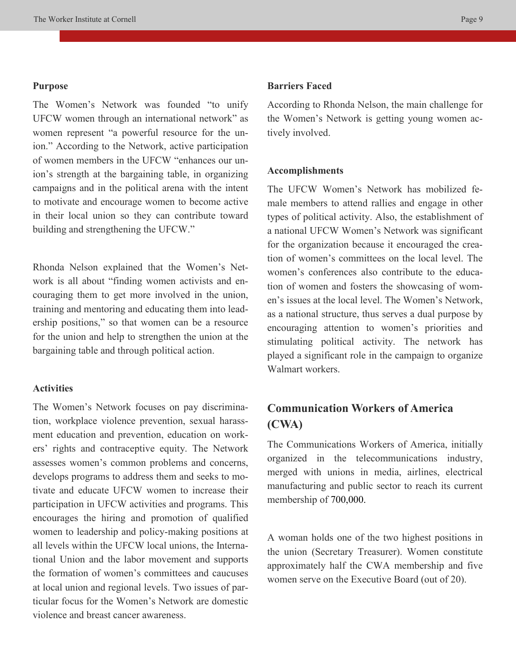### **Purpose**

The Women's Network was founded "to unify UFCW women through an international network" as women represent "a powerful resource for the union." According to the Network, active participation of women members in the UFCW "enhances our union's strength at the bargaining table, in organizing campaigns and in the political arena with the intent to motivate and encourage women to become active in their local union so they can contribute toward building and strengthening the UFCW."

Rhonda Nelson explained that the Women's Network is all about "finding women activists and encouraging them to get more involved in the union, training and mentoring and educating them into leadership positions," so that women can be a resource for the union and help to strengthen the union at the bargaining table and through political action.

### **Activities**

The Women's Network focuses on pay discrimination, workplace violence prevention, sexual harassment education and prevention, education on workers' rights and contraceptive equity. The Network assesses women's common problems and concerns, develops programs to address them and seeks to motivate and educate UFCW women to increase their participation in UFCW activities and programs. This encourages the hiring and promotion of qualified women to leadership and policy-making positions at all levels within the UFCW local unions, the International Union and the labor movement and supports the formation of women's committees and caucuses at local union and regional levels. Two issues of particular focus for the Women's Network are domestic violence and breast cancer awareness.

### **Barriers Faced**

According to Rhonda Nelson, the main challenge for the Women's Network is getting young women actively involved.

#### **Accomplishments**

The UFCW Women's Network has mobilized female members to attend rallies and engage in other types of political activity. Also, the establishment of a national UFCW Women's Network was significant for the organization because it encouraged the creation of women's committees on the local level. The women's conferences also contribute to the education of women and fosters the showcasing of women's issues at the local level. The Women's Network, as a national structure, thus serves a dual purpose by encouraging attention to women's priorities and stimulating political activity. The network has played a significant role in the campaign to organize Walmart workers.

# **Communication Workers of America (CWA)**

The Communications Workers of America, initially organized in the telecommunications industry, merged with unions in media, airlines, electrical manufacturing and public sector to reach its current membership of 700,000.

A woman holds one of the two highest positions in the union (Secretary Treasurer). Women constitute approximately half the CWA membership and five women serve on the Executive Board (out of 20).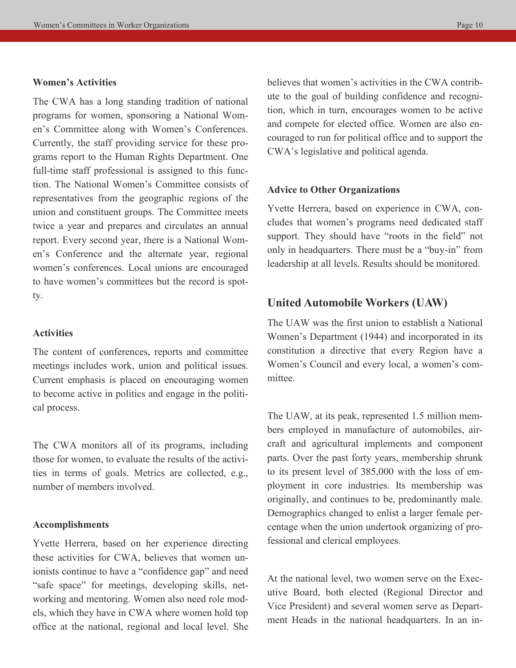### **Women's Activities**

The CWA has a long standing tradition of national programs for women, sponsoring a National Women's Committee along with Women's Conferences. Currently, the staff providing service for these programs report to the Human Rights Department. One full-time staff professional is assigned to this function. The National Women's Committee consists of representatives from the geographic regions of the union and constituent groups. The Committee meets twice a year and prepares and circulates an annual report. Every second year, there is a National Women's Conference and the alternate year, regional women's conferences. Local unions are encouraged to have women's committees but the record is spotty.

### **Activities**

The content of conferences, reports and committee meetings includes work, union and political issues. Current emphasis is placed on encouraging women to become active in politics and engage in the political process.

The CWA monitors all of its programs, including those for women, to evaluate the results of the activities in terms of goals. Metrics are collected, e.g., number of members involved.

### **Accomplishments**

Yvette Herrera, based on her experience directing these activities for CWA, believes that women unionists continue to have a "confidence gap" and need "safe space" for meetings, developing skills, networking and mentoring. Women also need role models, which they have in CWA where women hold top office at the national, regional and local level. She

believes that women's activities in the CWA contribute to the goal of building confidence and recognition, which in turn, encourages women to be active and compete for elected office. Women are also encouraged to run for political office and to support the CWA's legislative and political agenda.

### **Advice to Other Organizations**

Yvette Herrera, based on experience in CWA, concludes that women's programs need dedicated staff support. They should have "roots in the field" not only in headquarters. There must be a "buy-in" from leadership at all levels. Results should be monitored.

### **United Automobile Workers (UAW)**

The UAW was the first union to establish a National Women's Department (1944) and incorporated in its constitution a directive that every Region have a Women's Council and every local, a women's committee.

The UAW, at its peak, represented 1.5 million members employed in manufacture of automobiles, aircraft and agricultural implements and component parts. Over the past forty years, membership shrunk to its present level of 385,000 with the loss of employment in core industries. Its membership was originally, and continues to be, predominantly male. Demographics changed to enlist a larger female percentage when the union undertook organizing of professional and clerical employees.

At the national level, two women serve on the Executive Board, both elected (Regional Director and Vice President) and several women serve as Department Heads in the national headquarters. In an in-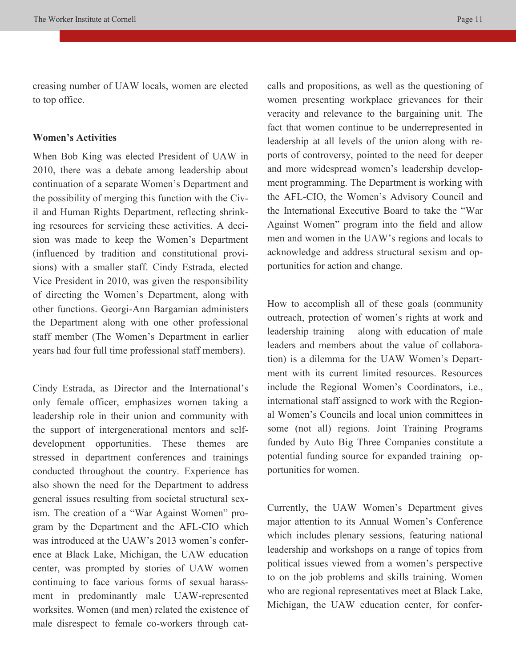creasing number of UAW locals, women are elected to top office.

### **Women's Activities**

When Bob King was elected President of UAW in 2010, there was a debate among leadership about continuation of a separate Women's Department and the possibility of merging this function with the Civil and Human Rights Department, reflecting shrinking resources for servicing these activities. A decision was made to keep the Women's Department (influenced by tradition and constitutional provisions) with a smaller staff. Cindy Estrada, elected Vice President in 2010, was given the responsibility of directing the Women's Department, along with other functions. Georgi-Ann Bargamian administers the Department along with one other professional staff member (The Women's Department in earlier years had four full time professional staff members).

Cindy Estrada, as Director and the International's only female officer, emphasizes women taking a leadership role in their union and community with the support of intergenerational mentors and selfdevelopment opportunities. These themes are stressed in department conferences and trainings conducted throughout the country. Experience has also shown the need for the Department to address general issues resulting from societal structural sexism. The creation of a "War Against Women" program by the Department and the AFL-CIO which was introduced at the UAW's 2013 women's conference at Black Lake, Michigan, the UAW education center, was prompted by stories of UAW women continuing to face various forms of sexual harassment in predominantly male UAW-represented worksites. Women (and men) related the existence of male disrespect to female co-workers through catcalls and propositions, as well as the questioning of women presenting workplace grievances for their veracity and relevance to the bargaining unit. The fact that women continue to be underrepresented in leadership at all levels of the union along with reports of controversy, pointed to the need for deeper and more widespread women's leadership development programming. The Department is working with the AFL-CIO, the Women's Advisory Council and the International Executive Board to take the "War Against Women" program into the field and allow men and women in the UAW's regions and locals to acknowledge and address structural sexism and opportunities for action and change.

How to accomplish all of these goals (community outreach, protection of women's rights at work and leadership training – along with education of male leaders and members about the value of collaboration) is a dilemma for the UAW Women's Department with its current limited resources. Resources include the Regional Women's Coordinators, i.e., international staff assigned to work with the Regional Women's Councils and local union committees in some (not all) regions. Joint Training Programs funded by Auto Big Three Companies constitute a potential funding source for expanded training opportunities for women.

Currently, the UAW Women's Department gives major attention to its Annual Women's Conference which includes plenary sessions, featuring national leadership and workshops on a range of topics from political issues viewed from a women's perspective to on the job problems and skills training. Women who are regional representatives meet at Black Lake, Michigan, the UAW education center, for confer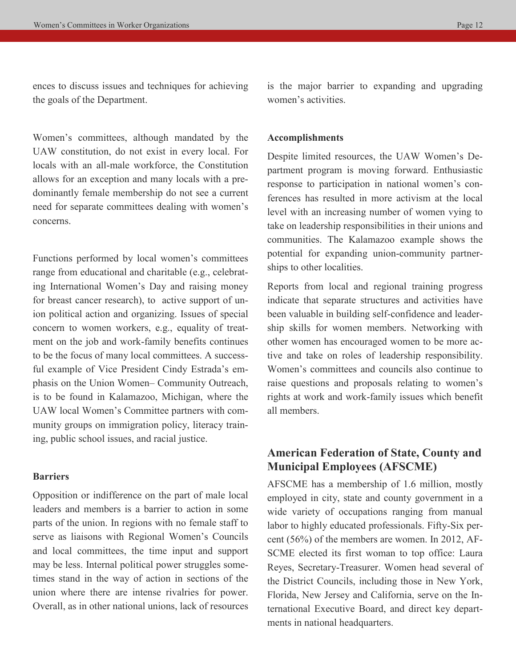ences to discuss issues and techniques for achieving the goals of the Department.

Women's committees, although mandated by the UAW constitution, do not exist in every local. For locals with an all-male workforce, the Constitution allows for an exception and many locals with a predominantly female membership do not see a current need for separate committees dealing with women's concerns.

Functions performed by local women's committees range from educational and charitable (e.g., celebrating International Women's Day and raising money for breast cancer research), to active support of union political action and organizing. Issues of special concern to women workers, e.g., equality of treatment on the job and work-family benefits continues to be the focus of many local committees. A successful example of Vice President Cindy Estrada's emphasis on the Union Women– Community Outreach, is to be found in Kalamazoo, Michigan, where the UAW local Women's Committee partners with community groups on immigration policy, literacy training, public school issues, and racial justice.

### **Barriers**

Opposition or indifference on the part of male local leaders and members is a barrier to action in some parts of the union. In regions with no female staff to serve as liaisons with Regional Women's Councils and local committees, the time input and support may be less. Internal political power struggles sometimes stand in the way of action in sections of the union where there are intense rivalries for power. Overall, as in other national unions, lack of resources is the major barrier to expanding and upgrading women's activities.

#### **Accomplishments**

Despite limited resources, the UAW Women's Department program is moving forward. Enthusiastic response to participation in national women's conferences has resulted in more activism at the local level with an increasing number of women vying to take on leadership responsibilities in their unions and communities. The Kalamazoo example shows the potential for expanding union-community partnerships to other localities.

Reports from local and regional training progress indicate that separate structures and activities have been valuable in building self-confidence and leadership skills for women members. Networking with other women has encouraged women to be more active and take on roles of leadership responsibility. Women's committees and councils also continue to raise questions and proposals relating to women's rights at work and work-family issues which benefit all members.

# **American Federation of State, County and Municipal Employees (AFSCME)**

AFSCME has a membership of 1.6 million, mostly employed in city, state and county government in a wide variety of occupations ranging from manual labor to highly educated professionals. Fifty-Six percent (56%) of the members are women. In 2012, AF-SCME elected its first woman to top office: Laura Reyes, Secretary-Treasurer. Women head several of the District Councils, including those in New York, Florida, New Jersey and California, serve on the International Executive Board, and direct key departments in national headquarters.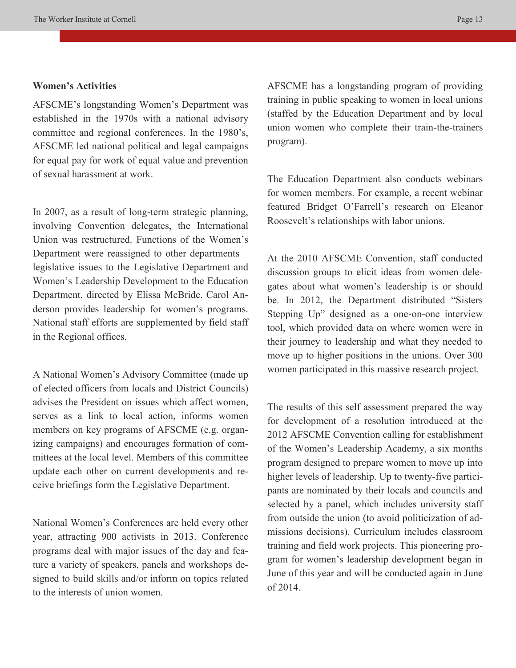### **Women's Activities**

AFSCME's longstanding Women's Department was established in the 1970s with a national advisory committee and regional conferences. In the 1980's, AFSCME led national political and legal campaigns for equal pay for work of equal value and prevention of sexual harassment at work.

In 2007, as a result of long-term strategic planning, involving Convention delegates, the International Union was restructured. Functions of the Women's Department were reassigned to other departments – legislative issues to the Legislative Department and Women's Leadership Development to the Education Department, directed by Elissa McBride. Carol Anderson provides leadership for women's programs. National staff efforts are supplemented by field staff in the Regional offices.

A National Women's Advisory Committee (made up of elected officers from locals and District Councils) advises the President on issues which affect women, serves as a link to local action, informs women members on key programs of AFSCME (e.g. organizing campaigns) and encourages formation of committees at the local level. Members of this committee update each other on current developments and receive briefings form the Legislative Department.

National Women's Conferences are held every other year, attracting 900 activists in 2013. Conference programs deal with major issues of the day and feature a variety of speakers, panels and workshops designed to build skills and/or inform on topics related to the interests of union women.

AFSCME has a longstanding program of providing training in public speaking to women in local unions (staffed by the Education Department and by local union women who complete their train-the-trainers program).

The Education Department also conducts webinars for women members. For example, a recent webinar featured Bridget O'Farrell's research on Eleanor Roosevelt's relationships with labor unions.

At the 2010 AFSCME Convention, staff conducted discussion groups to elicit ideas from women delegates about what women's leadership is or should be. In 2012, the Department distributed "Sisters Stepping Up" designed as a one-on-one interview tool, which provided data on where women were in their journey to leadership and what they needed to move up to higher positions in the unions. Over 300 women participated in this massive research project.

The results of this self assessment prepared the way for development of a resolution introduced at the 2012 AFSCME Convention calling for establishment of the Women's Leadership Academy, a six months program designed to prepare women to move up into higher levels of leadership. Up to twenty-five participants are nominated by their locals and councils and selected by a panel, which includes university staff from outside the union (to avoid politicization of admissions decisions). Curriculum includes classroom training and field work projects. This pioneering program for women's leadership development began in June of this year and will be conducted again in June of 2014.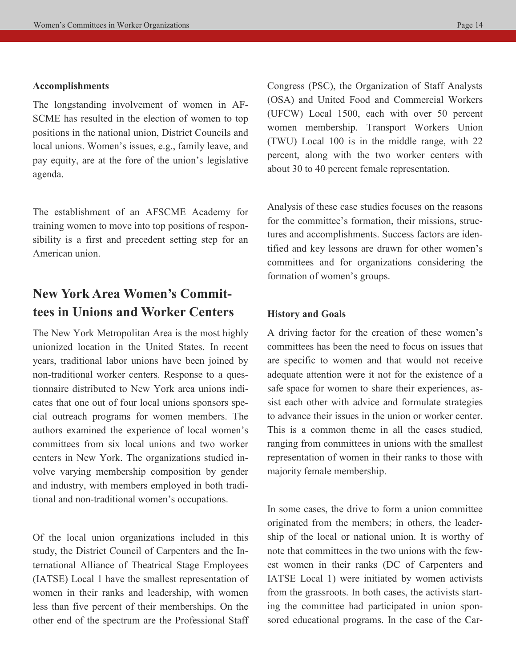#### **Accomplishments**

The longstanding involvement of women in AF-SCME has resulted in the election of women to top positions in the national union, District Councils and local unions. Women's issues, e.g., family leave, and pay equity, are at the fore of the union's legislative agenda.

The establishment of an AFSCME Academy for training women to move into top positions of responsibility is a first and precedent setting step for an American union.

# **New York Area Women's Committees in Unions and Worker Centers**

The New York Metropolitan Area is the most highly unionized location in the United States. In recent years, traditional labor unions have been joined by non-traditional worker centers. Response to a questionnaire distributed to New York area unions indicates that one out of four local unions sponsors special outreach programs for women members. The authors examined the experience of local women's committees from six local unions and two worker centers in New York. The organizations studied involve varying membership composition by gender and industry, with members employed in both traditional and non-traditional women's occupations.

Of the local union organizations included in this study, the District Council of Carpenters and the International Alliance of Theatrical Stage Employees (IATSE) Local 1 have the smallest representation of women in their ranks and leadership, with women less than five percent of their memberships. On the other end of the spectrum are the Professional Staff Congress (PSC), the Organization of Staff Analysts (OSA) and United Food and Commercial Workers (UFCW) Local 1500, each with over 50 percent women membership. Transport Workers Union (TWU) Local 100 is in the middle range, with 22 percent, along with the two worker centers with about 30 to 40 percent female representation.

Analysis of these case studies focuses on the reasons for the committee's formation, their missions, structures and accomplishments. Success factors are identified and key lessons are drawn for other women's committees and for organizations considering the formation of women's groups.

### **History and Goals**

A driving factor for the creation of these women's committees has been the need to focus on issues that are specific to women and that would not receive adequate attention were it not for the existence of a safe space for women to share their experiences, assist each other with advice and formulate strategies to advance their issues in the union or worker center. This is a common theme in all the cases studied, ranging from committees in unions with the smallest representation of women in their ranks to those with majority female membership.

In some cases, the drive to form a union committee originated from the members; in others, the leadership of the local or national union. It is worthy of note that committees in the two unions with the fewest women in their ranks (DC of Carpenters and IATSE Local 1) were initiated by women activists from the grassroots. In both cases, the activists starting the committee had participated in union sponsored educational programs. In the case of the Car-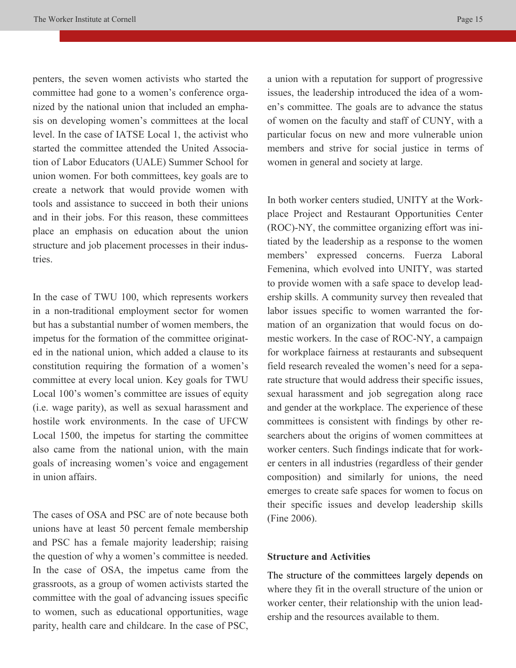penters, the seven women activists who started the committee had gone to a women's conference organized by the national union that included an emphasis on developing women's committees at the local level. In the case of IATSE Local 1, the activist who started the committee attended the United Association of Labor Educators (UALE) Summer School for union women. For both committees, key goals are to create a network that would provide women with tools and assistance to succeed in both their unions and in their jobs. For this reason, these committees place an emphasis on education about the union structure and job placement processes in their industries.

In the case of TWU 100, which represents workers in a non-traditional employment sector for women but has a substantial number of women members, the impetus for the formation of the committee originated in the national union, which added a clause to its constitution requiring the formation of a women's committee at every local union. Key goals for TWU Local 100's women's committee are issues of equity (i.e. wage parity), as well as sexual harassment and hostile work environments. In the case of UFCW Local 1500, the impetus for starting the committee also came from the national union, with the main goals of increasing women's voice and engagement in union affairs.

The cases of OSA and PSC are of note because both unions have at least 50 percent female membership and PSC has a female majority leadership; raising the question of why a women's committee is needed. In the case of OSA, the impetus came from the grassroots, as a group of women activists started the committee with the goal of advancing issues specific to women, such as educational opportunities, wage parity, health care and childcare. In the case of PSC,

a union with a reputation for support of progressive issues, the leadership introduced the idea of a women's committee. The goals are to advance the status of women on the faculty and staff of CUNY, with a particular focus on new and more vulnerable union members and strive for social justice in terms of women in general and society at large.

In both worker centers studied, UNITY at the Workplace Project and Restaurant Opportunities Center (ROC)-NY, the committee organizing effort was initiated by the leadership as a response to the women members' expressed concerns. Fuerza Laboral Femenina, which evolved into UNITY, was started to provide women with a safe space to develop leadership skills. A community survey then revealed that labor issues specific to women warranted the formation of an organization that would focus on domestic workers. In the case of ROC-NY, a campaign for workplace fairness at restaurants and subsequent field research revealed the women's need for a separate structure that would address their specific issues, sexual harassment and job segregation along race and gender at the workplace. The experience of these committees is consistent with findings by other researchers about the origins of women committees at worker centers. Such findings indicate that for worker centers in all industries (regardless of their gender composition) and similarly for unions, the need emerges to create safe spaces for women to focus on their specific issues and develop leadership skills (Fine 2006).

### **Structure and Activities**

The structure of the committees largely depends on where they fit in the overall structure of the union or worker center, their relationship with the union leadership and the resources available to them.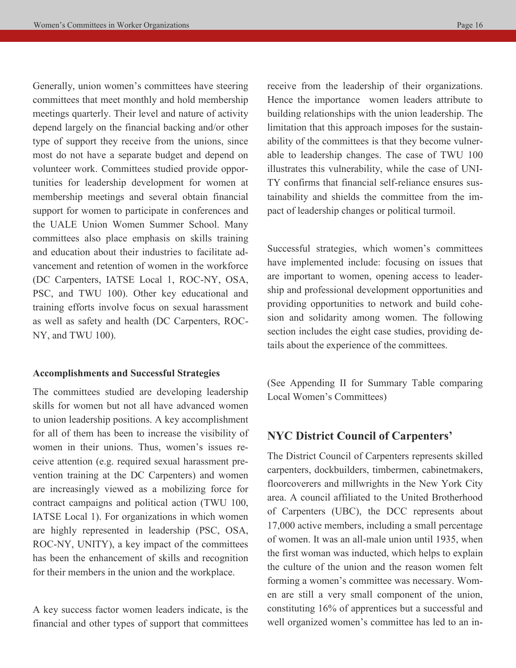Generally, union women's committees have steering committees that meet monthly and hold membership meetings quarterly. Their level and nature of activity depend largely on the financial backing and/or other type of support they receive from the unions, since most do not have a separate budget and depend on volunteer work. Committees studied provide opportunities for leadership development for women at membership meetings and several obtain financial support for women to participate in conferences and the UALE Union Women Summer School. Many committees also place emphasis on skills training and education about their industries to facilitate advancement and retention of women in the workforce (DC Carpenters, IATSE Local 1, ROC-NY, OSA, PSC, and TWU 100). Other key educational and training efforts involve focus on sexual harassment as well as safety and health (DC Carpenters, ROC-NY, and TWU 100).

### **Accomplishments and Successful Strategies**

The committees studied are developing leadership skills for women but not all have advanced women to union leadership positions. A key accomplishment for all of them has been to increase the visibility of women in their unions. Thus, women's issues receive attention (e.g. required sexual harassment prevention training at the DC Carpenters) and women are increasingly viewed as a mobilizing force for contract campaigns and political action (TWU 100, IATSE Local 1). For organizations in which women are highly represented in leadership (PSC, OSA, ROC-NY, UNITY), a key impact of the committees has been the enhancement of skills and recognition for their members in the union and the workplace.

A key success factor women leaders indicate, is the financial and other types of support that committees receive from the leadership of their organizations. Hence the importance women leaders attribute to building relationships with the union leadership. The limitation that this approach imposes for the sustainability of the committees is that they become vulnerable to leadership changes. The case of TWU 100 illustrates this vulnerability, while the case of UNI-TY confirms that financial self-reliance ensures sustainability and shields the committee from the impact of leadership changes or political turmoil.

Successful strategies, which women's committees have implemented include: focusing on issues that are important to women, opening access to leadership and professional development opportunities and providing opportunities to network and build cohesion and solidarity among women. The following section includes the eight case studies, providing details about the experience of the committees.

(See Appending II for Summary Table comparing Local Women's Committees)

### **NYC District Council of Carpenters'**

The District Council of Carpenters represents skilled carpenters, dockbuilders, timbermen, cabinetmakers, floorcoverers and millwrights in the New York City area. A council affiliated to the United Brotherhood of Carpenters (UBC), the DCC represents about 17,000 active members, including a small percentage of women. It was an all-male union until 1935, when the first woman was inducted, which helps to explain the culture of the union and the reason women felt forming a women's committee was necessary. Women are still a very small component of the union, constituting 16% of apprentices but a successful and well organized women's committee has led to an in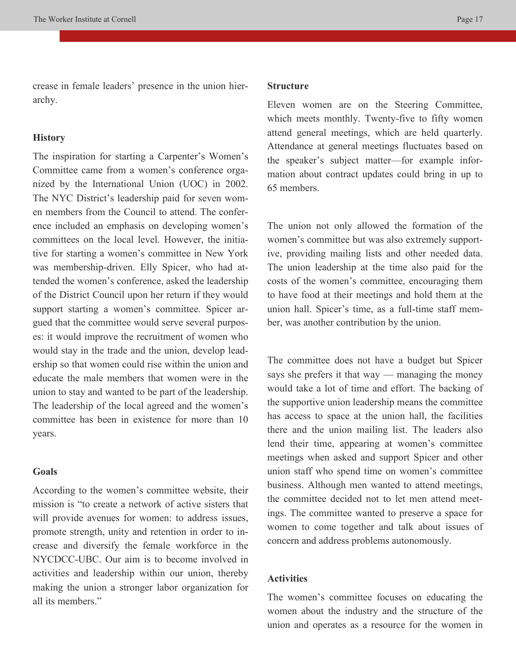crease in female leaders' presence in the union hierarchy.

### **History**

The inspiration for starting a Carpenter's Women's Committee came from a women's conference organized by the International Union (UOC) in 2002. The NYC District's leadership paid for seven women members from the Council to attend. The conference included an emphasis on developing women's committees on the local level. However, the initiative for starting a women's committee in New York was membership-driven. Elly Spicer, who had attended the women's conference, asked the leadership of the District Council upon her return if they would support starting a women's committee. Spicer argued that the committee would serve several purposes: it would improve the recruitment of women who would stay in the trade and the union, develop leadership so that women could rise within the union and educate the male members that women were in the union to stay and wanted to be part of the leadership. The leadership of the local agreed and the women's committee has been in existence for more than 10 years.

### **Goals**

According to the women's committee website, their mission is "to create a network of active sisters that will provide avenues for women: to address issues, promote strength, unity and retention in order to increase and diversify the female workforce in the NYCDCC-UBC. Our aim is to become involved in activities and leadership within our union, thereby making the union a stronger labor organization for all its members."

### **Structure**

Eleven women are on the Steering Committee, which meets monthly. Twenty-five to fifty women attend general meetings, which are held quarterly. Attendance at general meetings fluctuates based on the speaker's subject matter—for example information about contract updates could bring in up to 65 members.

The union not only allowed the formation of the women's committee but was also extremely supportive, providing mailing lists and other needed data. The union leadership at the time also paid for the costs of the women's committee, encouraging them to have food at their meetings and hold them at the union hall. Spicer's time, as a full-time staff member, was another contribution by the union.

The committee does not have a budget but Spicer says she prefers it that way — managing the money would take a lot of time and effort. The backing of the supportive union leadership means the committee has access to space at the union hall, the facilities there and the union mailing list. The leaders also lend their time, appearing at women's committee meetings when asked and support Spicer and other union staff who spend time on women's committee business. Although men wanted to attend meetings, the committee decided not to let men attend meetings. The committee wanted to preserve a space for women to come together and talk about issues of concern and address problems autonomously.

### **Activities**

The women's committee focuses on educating the women about the industry and the structure of the union and operates as a resource for the women in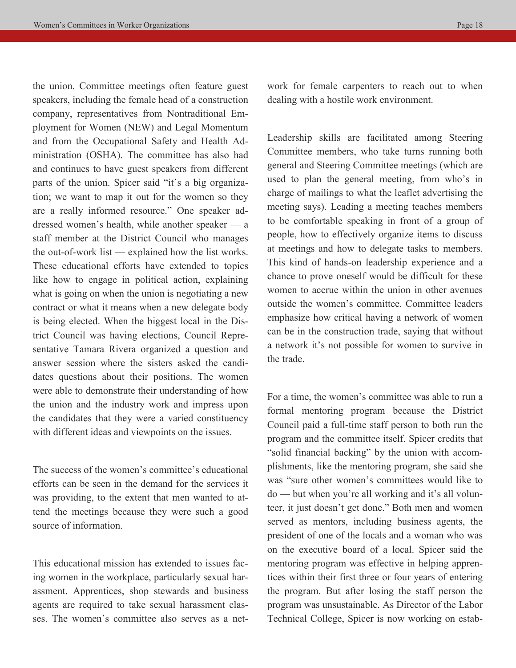the union. Committee meetings often feature guest speakers, including the female head of a construction company, representatives from Nontraditional Employment for Women (NEW) and Legal Momentum and from the Occupational Safety and Health Administration (OSHA). The committee has also had and continues to have guest speakers from different parts of the union. Spicer said "it's a big organization; we want to map it out for the women so they are a really informed resource." One speaker addressed women's health, while another speaker — a staff member at the District Council who manages the out-of-work list — explained how the list works. These educational efforts have extended to topics like how to engage in political action, explaining what is going on when the union is negotiating a new contract or what it means when a new delegate body is being elected. When the biggest local in the District Council was having elections, Council Representative Tamara Rivera organized a question and answer session where the sisters asked the candidates questions about their positions. The women were able to demonstrate their understanding of how the union and the industry work and impress upon the candidates that they were a varied constituency with different ideas and viewpoints on the issues.

The success of the women's committee's educational efforts can be seen in the demand for the services it was providing, to the extent that men wanted to attend the meetings because they were such a good source of information.

This educational mission has extended to issues facing women in the workplace, particularly sexual harassment. Apprentices, shop stewards and business agents are required to take sexual harassment classes. The women's committee also serves as a network for female carpenters to reach out to when dealing with a hostile work environment.

Leadership skills are facilitated among Steering Committee members, who take turns running both general and Steering Committee meetings (which are used to plan the general meeting, from who's in charge of mailings to what the leaflet advertising the meeting says). Leading a meeting teaches members to be comfortable speaking in front of a group of people, how to effectively organize items to discuss at meetings and how to delegate tasks to members. This kind of hands-on leadership experience and a chance to prove oneself would be difficult for these women to accrue within the union in other avenues outside the women's committee. Committee leaders emphasize how critical having a network of women can be in the construction trade, saying that without a network it's not possible for women to survive in the trade.

For a time, the women's committee was able to run a formal mentoring program because the District Council paid a full-time staff person to both run the program and the committee itself. Spicer credits that "solid financial backing" by the union with accomplishments, like the mentoring program, she said she was "sure other women's committees would like to do — but when you're all working and it's all volunteer, it just doesn't get done." Both men and women served as mentors, including business agents, the president of one of the locals and a woman who was on the executive board of a local. Spicer said the mentoring program was effective in helping apprentices within their first three or four years of entering the program. But after losing the staff person the program was unsustainable. As Director of the Labor Technical College, Spicer is now working on estab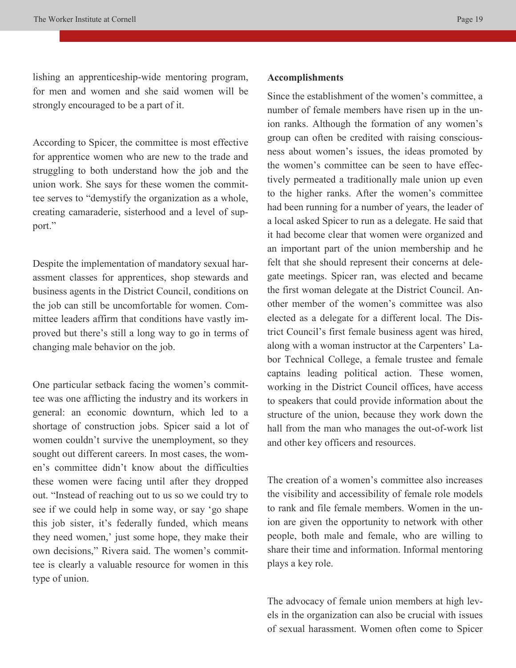lishing an apprenticeship-wide mentoring program, for men and women and she said women will be strongly encouraged to be a part of it.

According to Spicer, the committee is most effective for apprentice women who are new to the trade and struggling to both understand how the job and the union work. She says for these women the committee serves to "demystify the organization as a whole, creating camaraderie, sisterhood and a level of support."

Despite the implementation of mandatory sexual harassment classes for apprentices, shop stewards and business agents in the District Council, conditions on the job can still be uncomfortable for women. Committee leaders affirm that conditions have vastly improved but there's still a long way to go in terms of changing male behavior on the job.

One particular setback facing the women's committee was one afflicting the industry and its workers in general: an economic downturn, which led to a shortage of construction jobs. Spicer said a lot of women couldn't survive the unemployment, so they sought out different careers. In most cases, the women's committee didn't know about the difficulties these women were facing until after they dropped out. "Instead of reaching out to us so we could try to see if we could help in some way, or say 'go shape this job sister, it's federally funded, which means they need women,' just some hope, they make their own decisions," Rivera said. The women's committee is clearly a valuable resource for women in this type of union.

### **Accomplishments**

Since the establishment of the women's committee, a number of female members have risen up in the union ranks. Although the formation of any women's group can often be credited with raising consciousness about women's issues, the ideas promoted by the women's committee can be seen to have effectively permeated a traditionally male union up even to the higher ranks. After the women's committee had been running for a number of years, the leader of a local asked Spicer to run as a delegate. He said that it had become clear that women were organized and an important part of the union membership and he felt that she should represent their concerns at delegate meetings. Spicer ran, was elected and became the first woman delegate at the District Council. Another member of the women's committee was also elected as a delegate for a different local. The District Council's first female business agent was hired, along with a woman instructor at the Carpenters' Labor Technical College, a female trustee and female captains leading political action. These women, working in the District Council offices, have access to speakers that could provide information about the structure of the union, because they work down the hall from the man who manages the out-of-work list and other key officers and resources.

The creation of a women's committee also increases the visibility and accessibility of female role models to rank and file female members. Women in the union are given the opportunity to network with other people, both male and female, who are willing to share their time and information. Informal mentoring plays a key role.

The advocacy of female union members at high levels in the organization can also be crucial with issues of sexual harassment. Women often come to Spicer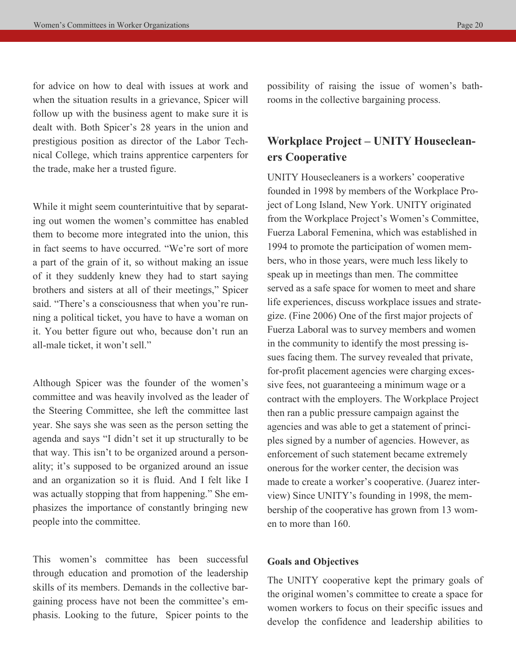for advice on how to deal with issues at work and when the situation results in a grievance, Spicer will follow up with the business agent to make sure it is dealt with. Both Spicer's 28 years in the union and prestigious position as director of the Labor Technical College, which trains apprentice carpenters for the trade, make her a trusted figure.

While it might seem counterintuitive that by separating out women the women's committee has enabled them to become more integrated into the union, this in fact seems to have occurred. "We're sort of more a part of the grain of it, so without making an issue of it they suddenly knew they had to start saying brothers and sisters at all of their meetings," Spicer said. "There's a consciousness that when you're running a political ticket, you have to have a woman on it. You better figure out who, because don't run an all-male ticket, it won't sell."

Although Spicer was the founder of the women's committee and was heavily involved as the leader of the Steering Committee, she left the committee last year. She says she was seen as the person setting the agenda and says "I didn't set it up structurally to be that way. This isn't to be organized around a personality; it's supposed to be organized around an issue and an organization so it is fluid. And I felt like I was actually stopping that from happening." She emphasizes the importance of constantly bringing new people into the committee.

This women's committee has been successful through education and promotion of the leadership skills of its members. Demands in the collective bargaining process have not been the committee's emphasis. Looking to the future, Spicer points to the possibility of raising the issue of women's bathrooms in the collective bargaining process.

# **Workplace Project – UNITY Housecleaners Cooperative**

UNITY Housecleaners is a workers' cooperative founded in 1998 by members of the Workplace Project of Long Island, New York. UNITY originated from the Workplace Project's Women's Committee, Fuerza Laboral Femenina, which was established in 1994 to promote the participation of women members, who in those years, were much less likely to speak up in meetings than men. The committee served as a safe space for women to meet and share life experiences, discuss workplace issues and strategize. (Fine 2006) One of the first major projects of Fuerza Laboral was to survey members and women in the community to identify the most pressing issues facing them. The survey revealed that private, for-profit placement agencies were charging excessive fees, not guaranteeing a minimum wage or a contract with the employers. The Workplace Project then ran a public pressure campaign against the agencies and was able to get a statement of principles signed by a number of agencies. However, as enforcement of such statement became extremely onerous for the worker center, the decision was made to create a worker's cooperative. (Juarez interview) Since UNITY's founding in 1998, the membership of the cooperative has grown from 13 women to more than 160.

### **Goals and Objectives**

The UNITY cooperative kept the primary goals of the original women's committee to create a space for women workers to focus on their specific issues and develop the confidence and leadership abilities to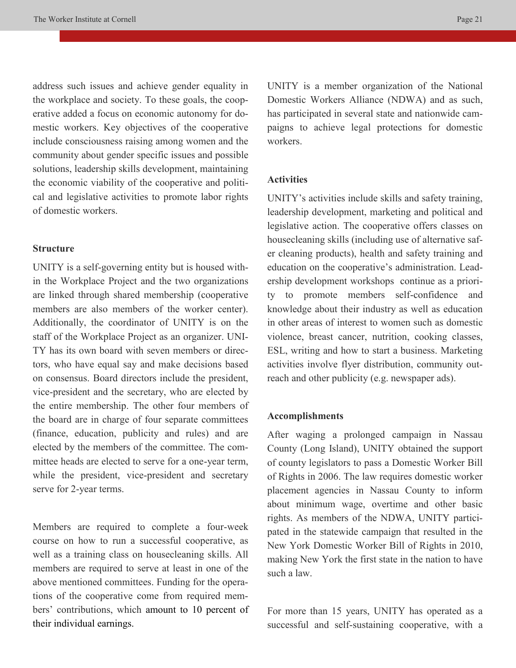address such issues and achieve gender equality in the workplace and society. To these goals, the cooperative added a focus on economic autonomy for domestic workers. Key objectives of the cooperative include consciousness raising among women and the community about gender specific issues and possible solutions, leadership skills development, maintaining the economic viability of the cooperative and political and legislative activities to promote labor rights of domestic workers.

### **Structure**

UNITY is a self-governing entity but is housed within the Workplace Project and the two organizations are linked through shared membership (cooperative members are also members of the worker center). Additionally, the coordinator of UNITY is on the staff of the Workplace Project as an organizer. UNI-TY has its own board with seven members or directors, who have equal say and make decisions based on consensus. Board directors include the president, vice-president and the secretary, who are elected by the entire membership. The other four members of the board are in charge of four separate committees (finance, education, publicity and rules) and are elected by the members of the committee. The committee heads are elected to serve for a one-year term, while the president, vice-president and secretary serve for 2-year terms.

Members are required to complete a four-week course on how to run a successful cooperative, as well as a training class on housecleaning skills. All members are required to serve at least in one of the above mentioned committees. Funding for the operations of the cooperative come from required members' contributions, which amount to 10 percent of their individual earnings.

UNITY is a member organization of the National Domestic Workers Alliance (NDWA) and as such, has participated in several state and nationwide campaigns to achieve legal protections for domestic workers.

### **Activities**

UNITY's activities include skills and safety training, leadership development, marketing and political and legislative action. The cooperative offers classes on housecleaning skills (including use of alternative safer cleaning products), health and safety training and education on the cooperative's administration. Leadership development workshops continue as a priority to promote members self-confidence and knowledge about their industry as well as education in other areas of interest to women such as domestic violence, breast cancer, nutrition, cooking classes, ESL, writing and how to start a business. Marketing activities involve flyer distribution, community outreach and other publicity (e.g. newspaper ads).

#### **Accomplishments**

After waging a prolonged campaign in Nassau County (Long Island), UNITY obtained the support of county legislators to pass a Domestic Worker Bill of Rights in 2006. The law requires domestic worker placement agencies in Nassau County to inform about minimum wage, overtime and other basic rights. As members of the NDWA, UNITY participated in the statewide campaign that resulted in the New York Domestic Worker Bill of Rights in 2010, making New York the first state in the nation to have such a law.

For more than 15 years, UNITY has operated as a successful and self-sustaining cooperative, with a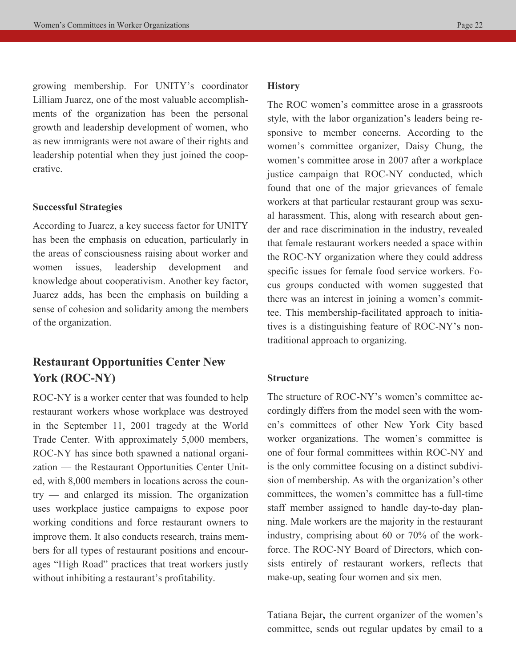growing membership. For UNITY's coordinator Lilliam Juarez, one of the most valuable accomplishments of the organization has been the personal growth and leadership development of women, who as new immigrants were not aware of their rights and leadership potential when they just joined the cooperative.

#### **Successful Strategies**

According to Juarez, a key success factor for UNITY has been the emphasis on education, particularly in the areas of consciousness raising about worker and women issues, leadership development and knowledge about cooperativism. Another key factor, Juarez adds, has been the emphasis on building a sense of cohesion and solidarity among the members of the organization.

# **Restaurant Opportunities Center New York (ROC-NY)**

ROC-NY is a worker center that was founded to help restaurant workers whose workplace was destroyed in the September 11, 2001 tragedy at the World Trade Center. With approximately 5,000 members, ROC-NY has since both spawned a national organization — the Restaurant Opportunities Center United, with 8,000 members in locations across the country — and enlarged its mission. The organization uses workplace justice campaigns to expose poor working conditions and force restaurant owners to improve them. It also conducts research, trains members for all types of restaurant positions and encourages "High Road" practices that treat workers justly without inhibiting a restaurant's profitability.

### **History**

The ROC women's committee arose in a grassroots style, with the labor organization's leaders being responsive to member concerns. According to the women's committee organizer, Daisy Chung, the women's committee arose in 2007 after a workplace justice campaign that ROC-NY conducted, which found that one of the major grievances of female workers at that particular restaurant group was sexual harassment. This, along with research about gender and race discrimination in the industry, revealed that female restaurant workers needed a space within the ROC-NY organization where they could address specific issues for female food service workers. Focus groups conducted with women suggested that there was an interest in joining a women's committee. This membership-facilitated approach to initiatives is a distinguishing feature of ROC-NY's nontraditional approach to organizing.

### **Structure**

The structure of ROC-NY's women's committee accordingly differs from the model seen with the women's committees of other New York City based worker organizations. The women's committee is one of four formal committees within ROC-NY and is the only committee focusing on a distinct subdivision of membership. As with the organization's other committees, the women's committee has a full-time staff member assigned to handle day-to-day planning. Male workers are the majority in the restaurant industry, comprising about 60 or 70% of the workforce. The ROC-NY Board of Directors, which consists entirely of restaurant workers, reflects that make-up, seating four women and six men.

Tatiana Bejar**,** the current organizer of the women's committee, sends out regular updates by email to a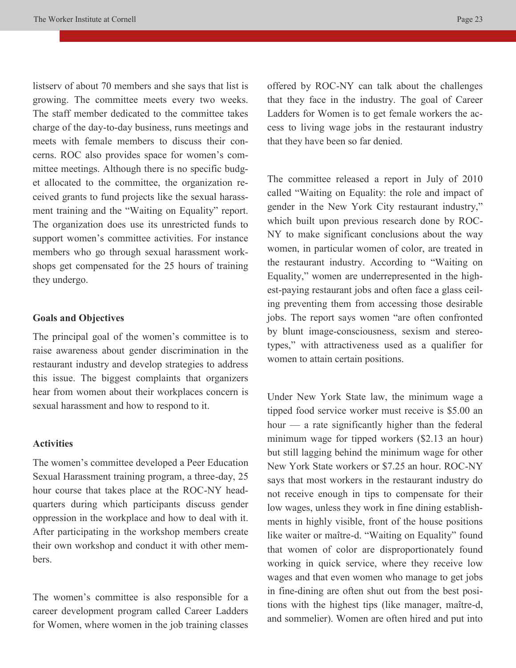listserv of about 70 members and she says that list is growing. The committee meets every two weeks. The staff member dedicated to the committee takes charge of the day-to-day business, runs meetings and meets with female members to discuss their concerns. ROC also provides space for women's committee meetings. Although there is no specific budget allocated to the committee, the organization received grants to fund projects like the sexual harassment training and the "Waiting on Equality" report. The organization does use its unrestricted funds to support women's committee activities. For instance members who go through sexual harassment workshops get compensated for the 25 hours of training they undergo.

### **Goals and Objectives**

The principal goal of the women's committee is to raise awareness about gender discrimination in the restaurant industry and develop strategies to address this issue. The biggest complaints that organizers hear from women about their workplaces concern is sexual harassment and how to respond to it.

### **Activities**

The women's committee developed a Peer Education Sexual Harassment training program, a three-day, 25 hour course that takes place at the ROC-NY headquarters during which participants discuss gender oppression in the workplace and how to deal with it. After participating in the workshop members create their own workshop and conduct it with other members.

The women's committee is also responsible for a career development program called Career Ladders for Women, where women in the job training classes offered by ROC-NY can talk about the challenges that they face in the industry. The goal of Career Ladders for Women is to get female workers the access to living wage jobs in the restaurant industry that they have been so far denied.

The committee released a report in July of 2010 called "Waiting on Equality: the role and impact of gender in the New York City restaurant industry," which built upon previous research done by ROC-NY to make significant conclusions about the way women, in particular women of color, are treated in the restaurant industry. According to "Waiting on Equality," women are underrepresented in the highest-paying restaurant jobs and often face a glass ceiling preventing them from accessing those desirable jobs. The report says women "are often confronted by blunt image-consciousness, sexism and stereotypes," with attractiveness used as a qualifier for women to attain certain positions.

Under New York State law, the minimum wage a tipped food service worker must receive is \$5.00 an hour — a rate significantly higher than the federal minimum wage for tipped workers (\$2.13 an hour) but still lagging behind the minimum wage for other New York State workers or \$7.25 an hour. ROC-NY says that most workers in the restaurant industry do not receive enough in tips to compensate for their low wages, unless they work in fine dining establishments in highly visible, front of the house positions like waiter or maître-d. "Waiting on Equality" found that women of color are disproportionately found working in quick service, where they receive low wages and that even women who manage to get jobs in fine-dining are often shut out from the best positions with the highest tips (like manager, maître-d, and sommelier). Women are often hired and put into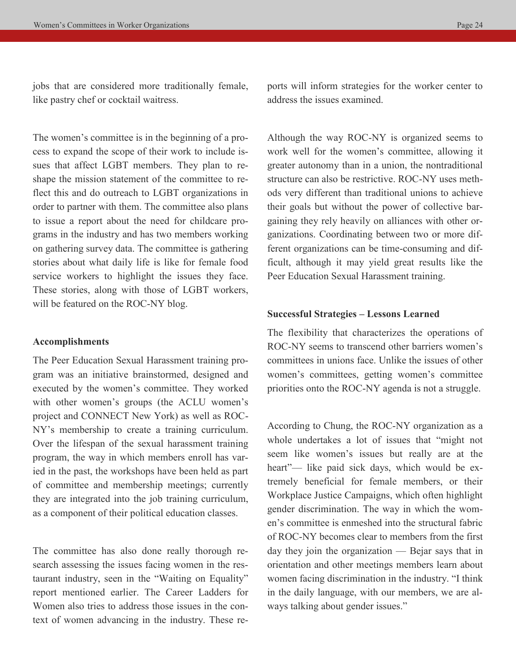jobs that are considered more traditionally female, like pastry chef or cocktail waitress.

The women's committee is in the beginning of a process to expand the scope of their work to include issues that affect LGBT members. They plan to reshape the mission statement of the committee to reflect this and do outreach to LGBT organizations in order to partner with them. The committee also plans to issue a report about the need for childcare programs in the industry and has two members working on gathering survey data. The committee is gathering stories about what daily life is like for female food service workers to highlight the issues they face. These stories, along with those of LGBT workers, will be featured on the ROC-NY blog.

#### **Accomplishments**

The Peer Education Sexual Harassment training program was an initiative brainstormed, designed and executed by the women's committee. They worked with other women's groups (the ACLU women's project and CONNECT New York) as well as ROC-NY's membership to create a training curriculum. Over the lifespan of the sexual harassment training program, the way in which members enroll has varied in the past, the workshops have been held as part of committee and membership meetings; currently they are integrated into the job training curriculum, as a component of their political education classes.

The committee has also done really thorough research assessing the issues facing women in the restaurant industry, seen in the "Waiting on Equality" report mentioned earlier. The Career Ladders for Women also tries to address those issues in the context of women advancing in the industry. These reports will inform strategies for the worker center to address the issues examined.

Although the way ROC-NY is organized seems to work well for the women's committee, allowing it greater autonomy than in a union, the nontraditional structure can also be restrictive. ROC-NY uses methods very different than traditional unions to achieve their goals but without the power of collective bargaining they rely heavily on alliances with other organizations. Coordinating between two or more different organizations can be time-consuming and difficult, although it may yield great results like the Peer Education Sexual Harassment training.

### **Successful Strategies – Lessons Learned**

The flexibility that characterizes the operations of ROC-NY seems to transcend other barriers women's committees in unions face. Unlike the issues of other women's committees, getting women's committee priorities onto the ROC-NY agenda is not a struggle.

According to Chung, the ROC-NY organization as a whole undertakes a lot of issues that "might not seem like women's issues but really are at the heart"— like paid sick days, which would be extremely beneficial for female members, or their Workplace Justice Campaigns, which often highlight gender discrimination. The way in which the women's committee is enmeshed into the structural fabric of ROC-NY becomes clear to members from the first day they join the organization — Bejar says that in orientation and other meetings members learn about women facing discrimination in the industry. "I think in the daily language, with our members, we are always talking about gender issues."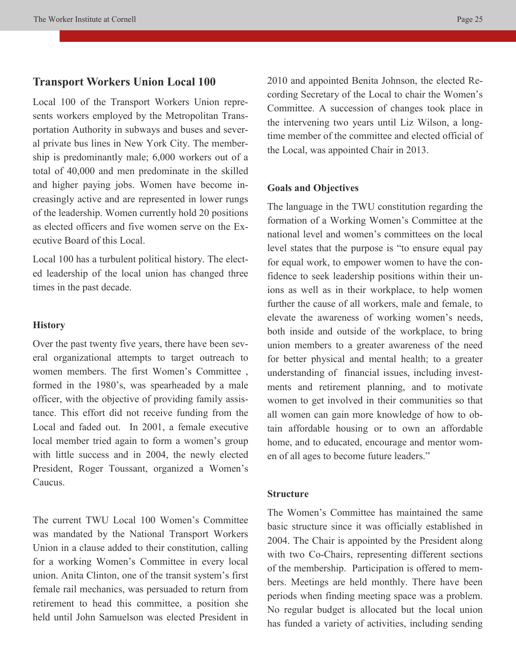### **Transport Workers Union Local 100**

Local 100 of the Transport Workers Union represents workers employed by the Metropolitan Transportation Authority in subways and buses and several private bus lines in New York City. The membership is predominantly male; 6,000 workers out of a total of 40,000 and men predominate in the skilled and higher paying jobs. Women have become increasingly active and are represented in lower rungs of the leadership. Women currently hold 20 positions as elected officers and five women serve on the Executive Board of this Local.

Local 100 has a turbulent political history. The elected leadership of the local union has changed three times in the past decade.

### **History**

Over the past twenty five years, there have been several organizational attempts to target outreach to women members. The first Women's Committee , formed in the 1980's, was spearheaded by a male officer, with the objective of providing family assistance. This effort did not receive funding from the Local and faded out. In 2001, a female executive local member tried again to form a women's group with little success and in 2004, the newly elected President, Roger Toussant, organized a Women's Caucus.

The current TWU Local 100 Women's Committee was mandated by the National Transport Workers Union in a clause added to their constitution, calling for a working Women's Committee in every local union. Anita Clinton, one of the transit system's first female rail mechanics, was persuaded to return from retirement to head this committee, a position she held until John Samuelson was elected President in

2010 and appointed Benita Johnson, the elected Recording Secretary of the Local to chair the Women's Committee. A succession of changes took place in the intervening two years until Liz Wilson, a longtime member of the committee and elected official of the Local, was appointed Chair in 2013.

### **Goals and Objectives**

The language in the TWU constitution regarding the formation of a Working Women's Committee at the national level and women's committees on the local level states that the purpose is "to ensure equal pay for equal work, to empower women to have the confidence to seek leadership positions within their unions as well as in their workplace, to help women further the cause of all workers, male and female, to elevate the awareness of working women's needs, both inside and outside of the workplace, to bring union members to a greater awareness of the need for better physical and mental health; to a greater understanding of financial issues, including investments and retirement planning, and to motivate women to get involved in their communities so that all women can gain more knowledge of how to obtain affordable housing or to own an affordable home, and to educated, encourage and mentor women of all ages to become future leaders."

### **Structure**

The Women's Committee has maintained the same basic structure since it was officially established in 2004. The Chair is appointed by the President along with two Co-Chairs, representing different sections of the membership. Participation is offered to members. Meetings are held monthly. There have been periods when finding meeting space was a problem. No regular budget is allocated but the local union has funded a variety of activities, including sending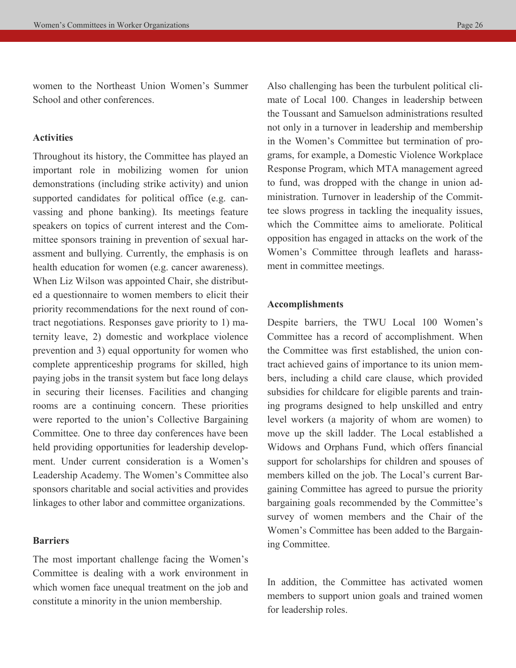women to the Northeast Union Women's Summer School and other conferences.

### **Activities**

Throughout its history, the Committee has played an important role in mobilizing women for union demonstrations (including strike activity) and union supported candidates for political office (e.g. canvassing and phone banking). Its meetings feature speakers on topics of current interest and the Committee sponsors training in prevention of sexual harassment and bullying. Currently, the emphasis is on health education for women (e.g. cancer awareness). When Liz Wilson was appointed Chair, she distributed a questionnaire to women members to elicit their priority recommendations for the next round of contract negotiations. Responses gave priority to 1) maternity leave, 2) domestic and workplace violence prevention and 3) equal opportunity for women who complete apprenticeship programs for skilled, high paying jobs in the transit system but face long delays in securing their licenses. Facilities and changing rooms are a continuing concern. These priorities were reported to the union's Collective Bargaining Committee. One to three day conferences have been held providing opportunities for leadership development. Under current consideration is a Women's Leadership Academy. The Women's Committee also sponsors charitable and social activities and provides linkages to other labor and committee organizations.

### **Barriers**

The most important challenge facing the Women's Committee is dealing with a work environment in which women face unequal treatment on the job and constitute a minority in the union membership.

Also challenging has been the turbulent political climate of Local 100. Changes in leadership between the Toussant and Samuelson administrations resulted not only in a turnover in leadership and membership in the Women's Committee but termination of programs, for example, a Domestic Violence Workplace Response Program, which MTA management agreed to fund, was dropped with the change in union administration. Turnover in leadership of the Committee slows progress in tackling the inequality issues, which the Committee aims to ameliorate. Political opposition has engaged in attacks on the work of the Women's Committee through leaflets and harassment in committee meetings.

### **Accomplishments**

Despite barriers, the TWU Local 100 Women's Committee has a record of accomplishment. When the Committee was first established, the union contract achieved gains of importance to its union members, including a child care clause, which provided subsidies for childcare for eligible parents and training programs designed to help unskilled and entry level workers (a majority of whom are women) to move up the skill ladder. The Local established a Widows and Orphans Fund, which offers financial support for scholarships for children and spouses of members killed on the job. The Local's current Bargaining Committee has agreed to pursue the priority bargaining goals recommended by the Committee's survey of women members and the Chair of the Women's Committee has been added to the Bargaining Committee.

In addition, the Committee has activated women members to support union goals and trained women for leadership roles.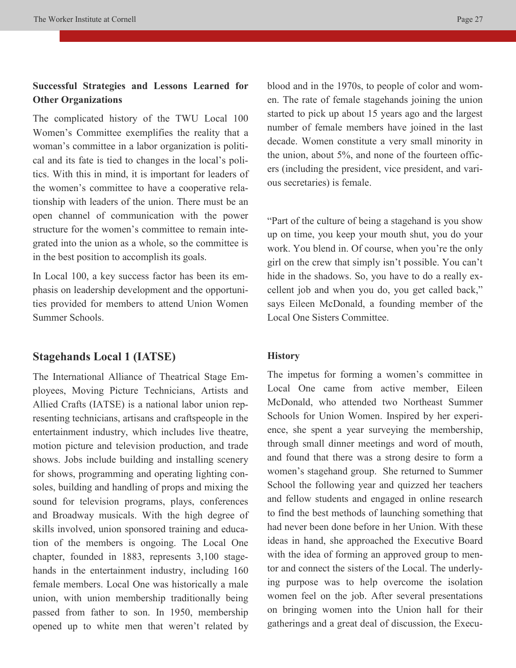# **Successful Strategies and Lessons Learned for Other Organizations**

The complicated history of the TWU Local 100 Women's Committee exemplifies the reality that a woman's committee in a labor organization is political and its fate is tied to changes in the local's politics. With this in mind, it is important for leaders of the women's committee to have a cooperative relationship with leaders of the union. There must be an open channel of communication with the power structure for the women's committee to remain integrated into the union as a whole, so the committee is in the best position to accomplish its goals.

In Local 100, a key success factor has been its emphasis on leadership development and the opportunities provided for members to attend Union Women Summer Schools.

### **Stagehands Local 1 (IATSE)**

The International Alliance of Theatrical Stage Employees, Moving Picture Technicians, Artists and Allied Crafts (IATSE) is a national labor union representing technicians, artisans and craftspeople in the entertainment industry, which includes live theatre, motion picture and television production, and trade shows. Jobs include building and installing scenery for shows, programming and operating lighting consoles, building and handling of props and mixing the sound for television programs, plays, conferences and Broadway musicals. With the high degree of skills involved, union sponsored training and education of the members is ongoing. The Local One chapter, founded in 1883, represents 3,100 stagehands in the entertainment industry, including 160 female members. Local One was historically a male union, with union membership traditionally being passed from father to son. In 1950, membership opened up to white men that weren't related by blood and in the 1970s, to people of color and women. The rate of female stagehands joining the union started to pick up about 15 years ago and the largest number of female members have joined in the last decade. Women constitute a very small minority in the union, about 5%, and none of the fourteen officers (including the president, vice president, and various secretaries) is female.

"Part of the culture of being a stagehand is you show up on time, you keep your mouth shut, you do your work. You blend in. Of course, when you're the only girl on the crew that simply isn't possible. You can't hide in the shadows. So, you have to do a really excellent job and when you do, you get called back," says Eileen McDonald, a founding member of the Local One Sisters Committee.

### **History**

The impetus for forming a women's committee in Local One came from active member, Eileen McDonald, who attended two Northeast Summer Schools for Union Women. Inspired by her experience, she spent a year surveying the membership, through small dinner meetings and word of mouth, and found that there was a strong desire to form a women's stagehand group. She returned to Summer School the following year and quizzed her teachers and fellow students and engaged in online research to find the best methods of launching something that had never been done before in her Union. With these ideas in hand, she approached the Executive Board with the idea of forming an approved group to mentor and connect the sisters of the Local. The underlying purpose was to help overcome the isolation women feel on the job. After several presentations on bringing women into the Union hall for their gatherings and a great deal of discussion, the Execu-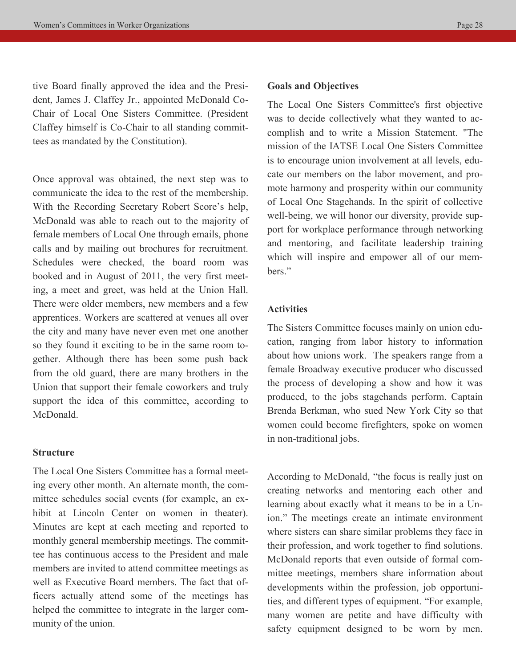tive Board finally approved the idea and the President, James J. Claffey Jr., appointed McDonald Co-Chair of Local One Sisters Committee. (President Claffey himself is Co-Chair to all standing committees as mandated by the Constitution).

Once approval was obtained, the next step was to communicate the idea to the rest of the membership. With the Recording Secretary Robert Score's help, McDonald was able to reach out to the majority of female members of Local One through emails, phone calls and by mailing out brochures for recruitment. Schedules were checked, the board room was booked and in August of 2011, the very first meeting, a meet and greet, was held at the Union Hall. There were older members, new members and a few apprentices. Workers are scattered at venues all over the city and many have never even met one another so they found it exciting to be in the same room together. Although there has been some push back from the old guard, there are many brothers in the Union that support their female coworkers and truly support the idea of this committee, according to McDonald.

### **Structure**

The Local One Sisters Committee has a formal meeting every other month. An alternate month, the committee schedules social events (for example, an exhibit at Lincoln Center on women in theater). Minutes are kept at each meeting and reported to monthly general membership meetings. The committee has continuous access to the President and male members are invited to attend committee meetings as well as Executive Board members. The fact that officers actually attend some of the meetings has helped the committee to integrate in the larger community of the union.

### **Goals and Objectives**

The Local One Sisters Committee's first objective was to decide collectively what they wanted to accomplish and to write a Mission Statement. "The mission of the IATSE Local One Sisters Committee is to encourage union involvement at all levels, educate our members on the labor movement, and promote harmony and prosperity within our community of Local One Stagehands. In the spirit of collective well-being, we will honor our diversity, provide support for workplace performance through networking and mentoring, and facilitate leadership training which will inspire and empower all of our members."

### **Activities**

The Sisters Committee focuses mainly on union education, ranging from labor history to information about how unions work. The speakers range from a female Broadway executive producer who discussed the process of developing a show and how it was produced, to the jobs stagehands perform. Captain Brenda Berkman, who sued New York City so that women could become firefighters, spoke on women in non-traditional jobs.

According to McDonald, "the focus is really just on creating networks and mentoring each other and learning about exactly what it means to be in a Union." The meetings create an intimate environment where sisters can share similar problems they face in their profession, and work together to find solutions. McDonald reports that even outside of formal committee meetings, members share information about developments within the profession, job opportunities, and different types of equipment. "For example, many women are petite and have difficulty with safety equipment designed to be worn by men.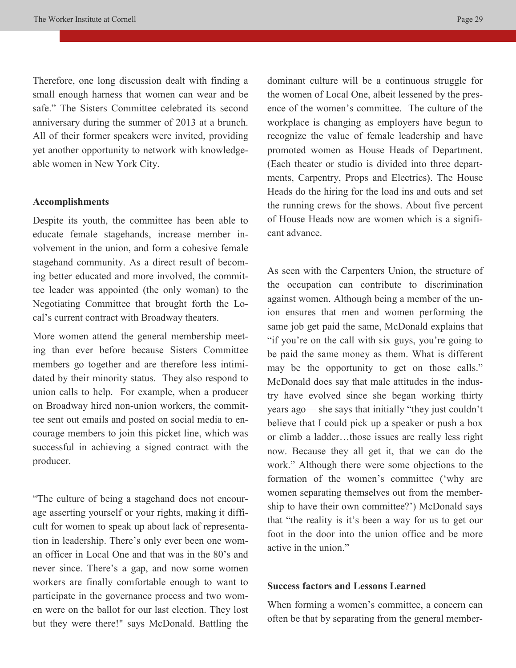Therefore, one long discussion dealt with finding a small enough harness that women can wear and be safe." The Sisters Committee celebrated its second anniversary during the summer of 2013 at a brunch. All of their former speakers were invited, providing yet another opportunity to network with knowledgeable women in New York City.

### **Accomplishments**

Despite its youth, the committee has been able to educate female stagehands, increase member involvement in the union, and form a cohesive female stagehand community. As a direct result of becoming better educated and more involved, the committee leader was appointed (the only woman) to the Negotiating Committee that brought forth the Local's current contract with Broadway theaters.

More women attend the general membership meeting than ever before because Sisters Committee members go together and are therefore less intimidated by their minority status. They also respond to union calls to help. For example, when a producer on Broadway hired non-union workers, the committee sent out emails and posted on social media to encourage members to join this picket line, which was successful in achieving a signed contract with the producer.

"The culture of being a stagehand does not encourage asserting yourself or your rights, making it difficult for women to speak up about lack of representation in leadership. There's only ever been one woman officer in Local One and that was in the 80's and never since. There's a gap, and now some women workers are finally comfortable enough to want to participate in the governance process and two women were on the ballot for our last election. They lost but they were there!" says McDonald. Battling the

dominant culture will be a continuous struggle for the women of Local One, albeit lessened by the presence of the women's committee. The culture of the workplace is changing as employers have begun to recognize the value of female leadership and have promoted women as House Heads of Department. (Each theater or studio is divided into three departments, Carpentry, Props and Electrics). The House Heads do the hiring for the load ins and outs and set the running crews for the shows. About five percent of House Heads now are women which is a significant advance.

As seen with the Carpenters Union, the structure of the occupation can contribute to discrimination against women. Although being a member of the union ensures that men and women performing the same job get paid the same, McDonald explains that "if you're on the call with six guys, you're going to be paid the same money as them. What is different may be the opportunity to get on those calls." McDonald does say that male attitudes in the industry have evolved since she began working thirty years ago— she says that initially "they just couldn't believe that I could pick up a speaker or push a box or climb a ladder…those issues are really less right now. Because they all get it, that we can do the work." Although there were some objections to the formation of the women's committee ('why are women separating themselves out from the membership to have their own committee?') McDonald says that "the reality is it's been a way for us to get our foot in the door into the union office and be more active in the union."

### **Success factors and Lessons Learned**

When forming a women's committee, a concern can often be that by separating from the general member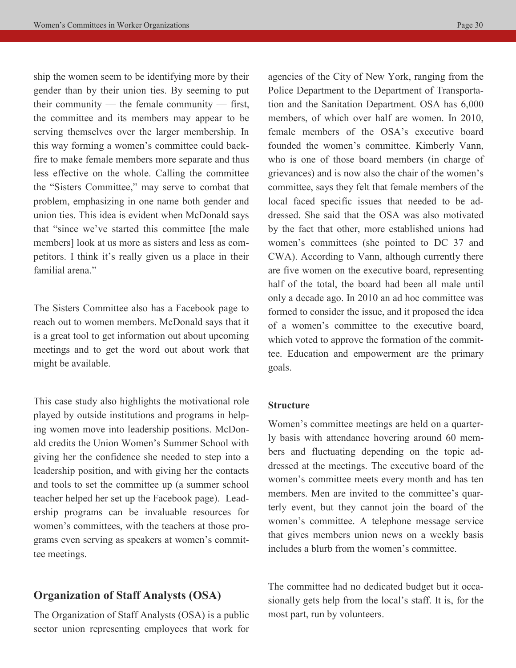ship the women seem to be identifying more by their gender than by their union ties. By seeming to put their community — the female community — first, the committee and its members may appear to be serving themselves over the larger membership. In this way forming a women's committee could backfire to make female members more separate and thus less effective on the whole. Calling the committee the "Sisters Committee," may serve to combat that problem, emphasizing in one name both gender and union ties. This idea is evident when McDonald says that "since we've started this committee [the male members] look at us more as sisters and less as competitors. I think it's really given us a place in their familial arena."

The Sisters Committee also has a Facebook page to reach out to women members. McDonald says that it is a great tool to get information out about upcoming meetings and to get the word out about work that might be available.

This case study also highlights the motivational role played by outside institutions and programs in helping women move into leadership positions. McDonald credits the Union Women's Summer School with giving her the confidence she needed to step into a leadership position, and with giving her the contacts and tools to set the committee up (a summer school teacher helped her set up the Facebook page). Leadership programs can be invaluable resources for women's committees, with the teachers at those programs even serving as speakers at women's committee meetings.

# **Organization of Staff Analysts (OSA)**

The Organization of Staff Analysts (OSA) is a public sector union representing employees that work for agencies of the City of New York, ranging from the Police Department to the Department of Transportation and the Sanitation Department. OSA has 6,000 members, of which over half are women. In 2010, female members of the OSA's executive board founded the women's committee. Kimberly Vann, who is one of those board members (in charge of grievances) and is now also the chair of the women's committee, says they felt that female members of the local faced specific issues that needed to be addressed. She said that the OSA was also motivated by the fact that other, more established unions had women's committees (she pointed to DC 37 and CWA). According to Vann, although currently there are five women on the executive board, representing half of the total, the board had been all male until only a decade ago. In 2010 an ad hoc committee was formed to consider the issue, and it proposed the idea of a women's committee to the executive board, which voted to approve the formation of the committee. Education and empowerment are the primary goals.

### **Structure**

Women's committee meetings are held on a quarterly basis with attendance hovering around 60 members and fluctuating depending on the topic addressed at the meetings. The executive board of the women's committee meets every month and has ten members. Men are invited to the committee's quarterly event, but they cannot join the board of the women's committee. A telephone message service that gives members union news on a weekly basis includes a blurb from the women's committee.

The committee had no dedicated budget but it occasionally gets help from the local's staff. It is, for the most part, run by volunteers.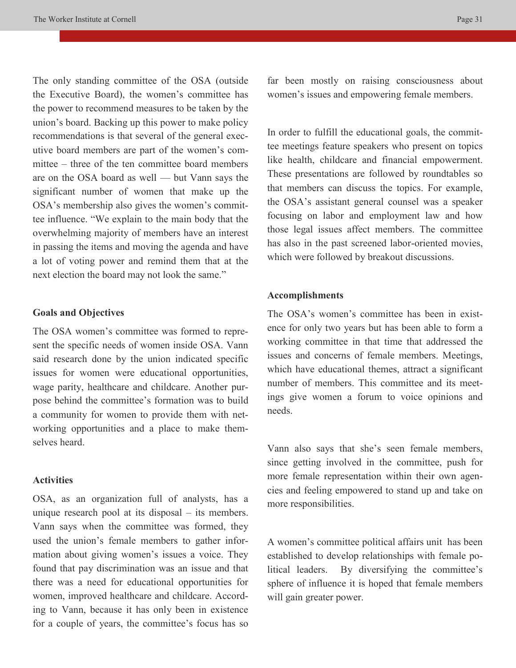The only standing committee of the OSA (outside the Executive Board), the women's committee has the power to recommend measures to be taken by the union's board. Backing up this power to make policy recommendations is that several of the general executive board members are part of the women's committee – three of the ten committee board members are on the OSA board as well — but Vann says the significant number of women that make up the OSA's membership also gives the women's committee influence. "We explain to the main body that the overwhelming majority of members have an interest in passing the items and moving the agenda and have a lot of voting power and remind them that at the next election the board may not look the same."

### **Goals and Objectives**

The OSA women's committee was formed to represent the specific needs of women inside OSA. Vann said research done by the union indicated specific issues for women were educational opportunities, wage parity, healthcare and childcare. Another purpose behind the committee's formation was to build a community for women to provide them with networking opportunities and a place to make themselves heard.

### **Activities**

OSA, as an organization full of analysts, has a unique research pool at its disposal – its members. Vann says when the committee was formed, they used the union's female members to gather information about giving women's issues a voice. They found that pay discrimination was an issue and that there was a need for educational opportunities for women, improved healthcare and childcare. According to Vann, because it has only been in existence for a couple of years, the committee's focus has so far been mostly on raising consciousness about women's issues and empowering female members.

In order to fulfill the educational goals, the committee meetings feature speakers who present on topics like health, childcare and financial empowerment. These presentations are followed by roundtables so that members can discuss the topics. For example, the OSA's assistant general counsel was a speaker focusing on labor and employment law and how those legal issues affect members. The committee has also in the past screened labor-oriented movies, which were followed by breakout discussions.

#### **Accomplishments**

The OSA's women's committee has been in existence for only two years but has been able to form a working committee in that time that addressed the issues and concerns of female members. Meetings, which have educational themes, attract a significant number of members. This committee and its meetings give women a forum to voice opinions and needs.

Vann also says that she's seen female members, since getting involved in the committee, push for more female representation within their own agencies and feeling empowered to stand up and take on more responsibilities.

A women's committee political affairs unit has been established to develop relationships with female political leaders. By diversifying the committee's sphere of influence it is hoped that female members will gain greater power.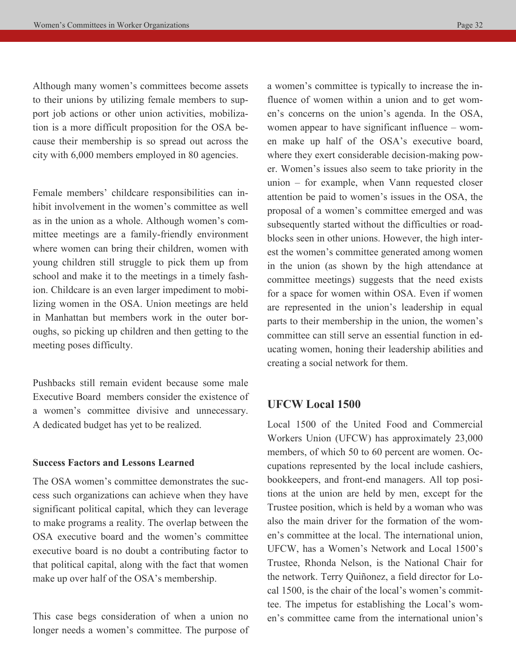Although many women's committees become assets to their unions by utilizing female members to support job actions or other union activities, mobilization is a more difficult proposition for the OSA because their membership is so spread out across the city with 6,000 members employed in 80 agencies.

Female members' childcare responsibilities can inhibit involvement in the women's committee as well as in the union as a whole. Although women's committee meetings are a family-friendly environment where women can bring their children, women with young children still struggle to pick them up from school and make it to the meetings in a timely fashion. Childcare is an even larger impediment to mobilizing women in the OSA. Union meetings are held in Manhattan but members work in the outer boroughs, so picking up children and then getting to the meeting poses difficulty.

Pushbacks still remain evident because some male Executive Board members consider the existence of a women's committee divisive and unnecessary. A dedicated budget has yet to be realized.

### **Success Factors and Lessons Learned**

The OSA women's committee demonstrates the success such organizations can achieve when they have significant political capital, which they can leverage to make programs a reality. The overlap between the OSA executive board and the women's committee executive board is no doubt a contributing factor to that political capital, along with the fact that women make up over half of the OSA's membership.

This case begs consideration of when a union no longer needs a women's committee. The purpose of a women's committee is typically to increase the influence of women within a union and to get women's concerns on the union's agenda. In the OSA, women appear to have significant influence – women make up half of the OSA's executive board, where they exert considerable decision-making power. Women's issues also seem to take priority in the union – for example, when Vann requested closer attention be paid to women's issues in the OSA, the proposal of a women's committee emerged and was subsequently started without the difficulties or roadblocks seen in other unions. However, the high interest the women's committee generated among women in the union (as shown by the high attendance at committee meetings) suggests that the need exists for a space for women within OSA. Even if women are represented in the union's leadership in equal parts to their membership in the union, the women's committee can still serve an essential function in educating women, honing their leadership abilities and creating a social network for them.

### **UFCW Local 1500**

Local 1500 of the United Food and Commercial Workers Union (UFCW) has approximately 23,000 members, of which 50 to 60 percent are women. Occupations represented by the local include cashiers, bookkeepers, and front-end managers. All top positions at the union are held by men, except for the Trustee position, which is held by a woman who was also the main driver for the formation of the women's committee at the local. The international union, UFCW, has a Women's Network and Local 1500's Trustee, Rhonda Nelson, is the National Chair for the network. Terry Quiñonez, a field director for Local 1500, is the chair of the local's women's committee. The impetus for establishing the Local's women's committee came from the international union's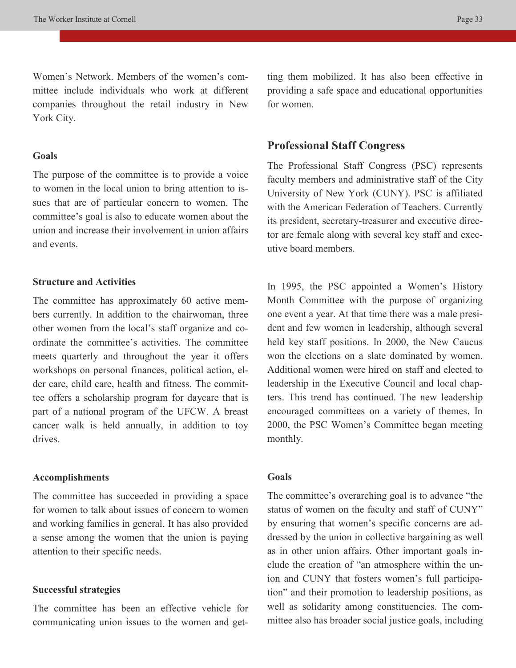Women's Network. Members of the women's committee include individuals who work at different companies throughout the retail industry in New York City.

#### **Goals**

The purpose of the committee is to provide a voice to women in the local union to bring attention to issues that are of particular concern to women. The committee's goal is also to educate women about the union and increase their involvement in union affairs and events.

### **Structure and Activities**

The committee has approximately 60 active members currently. In addition to the chairwoman, three other women from the local's staff organize and coordinate the committee's activities. The committee meets quarterly and throughout the year it offers workshops on personal finances, political action, elder care, child care, health and fitness. The committee offers a scholarship program for daycare that is part of a national program of the UFCW. A breast cancer walk is held annually, in addition to toy drives.

### **Accomplishments**

The committee has succeeded in providing a space for women to talk about issues of concern to women and working families in general. It has also provided a sense among the women that the union is paying attention to their specific needs.

### **Successful strategies**

The committee has been an effective vehicle for communicating union issues to the women and getting them mobilized. It has also been effective in providing a safe space and educational opportunities for women.

### **Professional Staff Congress**

The Professional Staff Congress (PSC) represents faculty members and administrative staff of the City University of New York (CUNY). PSC is affiliated with the American Federation of Teachers. Currently its president, secretary-treasurer and executive director are female along with several key staff and executive board members.

In 1995, the PSC appointed a Women's History Month Committee with the purpose of organizing one event a year. At that time there was a male president and few women in leadership, although several held key staff positions. In 2000, the New Caucus won the elections on a slate dominated by women. Additional women were hired on staff and elected to leadership in the Executive Council and local chapters. This trend has continued. The new leadership encouraged committees on a variety of themes. In 2000, the PSC Women's Committee began meeting monthly.

### **Goals**

The committee's overarching goal is to advance "the status of women on the faculty and staff of CUNY" by ensuring that women's specific concerns are addressed by the union in collective bargaining as well as in other union affairs. Other important goals include the creation of "an atmosphere within the union and CUNY that fosters women's full participation" and their promotion to leadership positions, as well as solidarity among constituencies. The committee also has broader social justice goals, including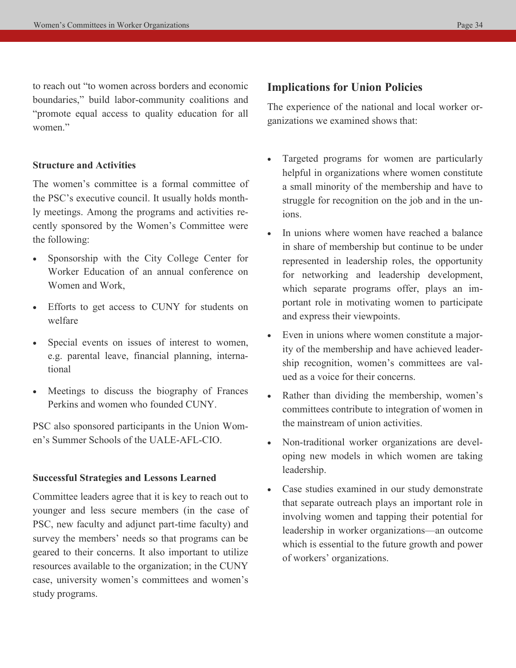to reach out "to women across borders and economic boundaries," build labor-community coalitions and "promote equal access to quality education for all women<sup>"</sup>

### **Structure and Activities**

The women's committee is a formal committee of the PSC's executive council. It usually holds monthly meetings. Among the programs and activities recently sponsored by the Women's Committee were the following:

- Sponsorship with the City College Center for Worker Education of an annual conference on Women and Work,
- Efforts to get access to CUNY for students on welfare
- Special events on issues of interest to women, e.g. parental leave, financial planning, international
- Meetings to discuss the biography of Frances Perkins and women who founded CUNY.

PSC also sponsored participants in the Union Women's Summer Schools of the UALE-AFL-CIO.

### **Successful Strategies and Lessons Learned**

Committee leaders agree that it is key to reach out to younger and less secure members (in the case of PSC, new faculty and adjunct part-time faculty) and survey the members' needs so that programs can be geared to their concerns. It also important to utilize resources available to the organization; in the CUNY case, university women's committees and women's study programs.

# **Implications for Union Policies**

The experience of the national and local worker organizations we examined shows that:

- Targeted programs for women are particularly helpful in organizations where women constitute a small minority of the membership and have to struggle for recognition on the job and in the unions.
- In unions where women have reached a balance in share of membership but continue to be under represented in leadership roles, the opportunity for networking and leadership development, which separate programs offer, plays an important role in motivating women to participate and express their viewpoints.
- Even in unions where women constitute a majority of the membership and have achieved leadership recognition, women's committees are valued as a voice for their concerns.
- Rather than dividing the membership, women's committees contribute to integration of women in the mainstream of union activities.
- Non-traditional worker organizations are developing new models in which women are taking leadership.
- Case studies examined in our study demonstrate that separate outreach plays an important role in involving women and tapping their potential for leadership in worker organizations—an outcome which is essential to the future growth and power of workers' organizations.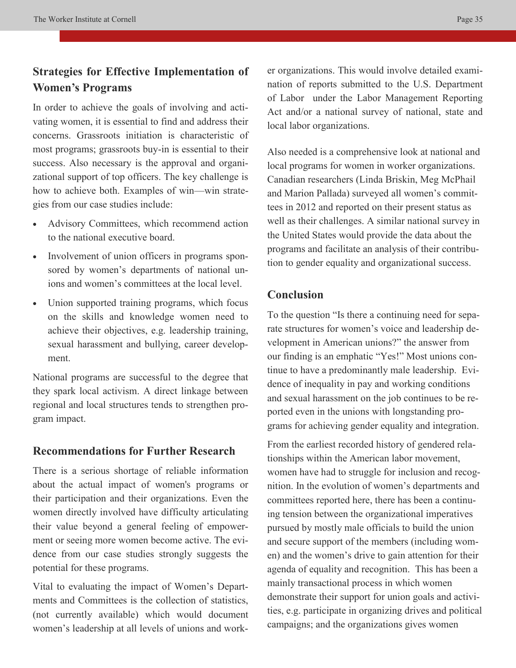# **Strategies for Effective Implementation of Women's Programs**

In order to achieve the goals of involving and activating women, it is essential to find and address their concerns. Grassroots initiation is characteristic of most programs; grassroots buy-in is essential to their success. Also necessary is the approval and organizational support of top officers. The key challenge is how to achieve both. Examples of win—win strategies from our case studies include:

- Advisory Committees, which recommend action to the national executive board.
- Involvement of union officers in programs sponsored by women's departments of national unions and women's committees at the local level.
- Union supported training programs, which focus on the skills and knowledge women need to achieve their objectives, e.g. leadership training, sexual harassment and bullying, career development.

National programs are successful to the degree that they spark local activism. A direct linkage between regional and local structures tends to strengthen program impact.

# **Recommendations for Further Research**

There is a serious shortage of reliable information about the actual impact of women's programs or their participation and their organizations. Even the women directly involved have difficulty articulating their value beyond a general feeling of empowerment or seeing more women become active. The evidence from our case studies strongly suggests the potential for these programs.

Vital to evaluating the impact of Women's Departments and Committees is the collection of statistics, (not currently available) which would document women's leadership at all levels of unions and work-

er organizations. This would involve detailed examination of reports submitted to the U.S. Department of Labor under the Labor Management Reporting Act and/or a national survey of national, state and local labor organizations.

Also needed is a comprehensive look at national and local programs for women in worker organizations. Canadian researchers (Linda Briskin, Meg McPhail and Marion Pallada) surveyed all women's committees in 2012 and reported on their present status as well as their challenges. A similar national survey in the United States would provide the data about the programs and facilitate an analysis of their contribution to gender equality and organizational success.

# **Conclusion**

To the question "Is there a continuing need for separate structures for women's voice and leadership development in American unions?" the answer from our finding is an emphatic "Yes!" Most unions continue to have a predominantly male leadership. Evidence of inequality in pay and working conditions and sexual harassment on the job continues to be reported even in the unions with longstanding programs for achieving gender equality and integration.

From the earliest recorded history of gendered relationships within the American labor movement, women have had to struggle for inclusion and recognition. In the evolution of women's departments and committees reported here, there has been a continuing tension between the organizational imperatives pursued by mostly male officials to build the union and secure support of the members (including women) and the women's drive to gain attention for their agenda of equality and recognition. This has been a mainly transactional process in which women demonstrate their support for union goals and activities, e.g. participate in organizing drives and political campaigns; and the organizations gives women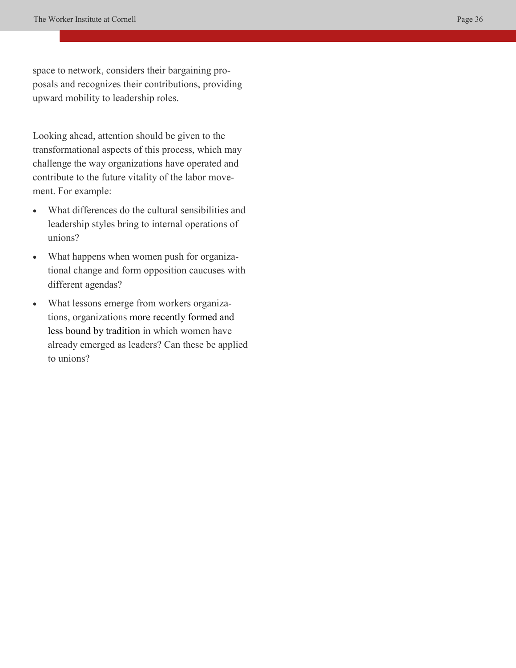space to network, considers their bargaining proposals and recognizes their contributions, providing upward mobility to leadership roles.

Looking ahead, attention should be given to the transformational aspects of this process, which may challenge the way organizations have operated and contribute to the future vitality of the labor movement. For example:

- What differences do the cultural sensibilities and leadership styles bring to internal operations of unions?
- What happens when women push for organizational change and form opposition caucuses with different agendas?
- What lessons emerge from workers organizations, organizations more recently formed and less bound by tradition in which women have already emerged as leaders? Can these be applied to unions?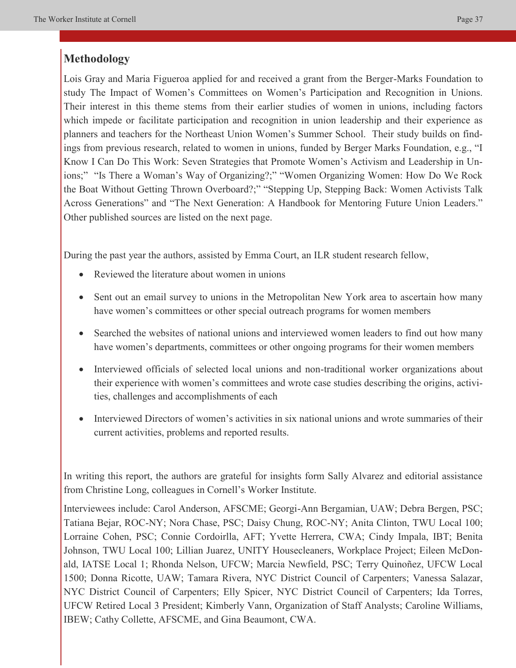# **Methodology**

Lois Gray and Maria Figueroa applied for and received a grant from the Berger-Marks Foundation to study The Impact of Women's Committees on Women's Participation and Recognition in Unions. Their interest in this theme stems from their earlier studies of women in unions, including factors which impede or facilitate participation and recognition in union leadership and their experience as planners and teachers for the Northeast Union Women's Summer School. Their study builds on findings from previous research, related to women in unions, funded by Berger Marks Foundation, e.g., "I Know I Can Do This Work: Seven Strategies that Promote Women's Activism and Leadership in Unions;" "Is There a Woman's Way of Organizing?;" "Women Organizing Women: How Do We Rock the Boat Without Getting Thrown Overboard?;" "Stepping Up, Stepping Back: Women Activists Talk Across Generations" and "The Next Generation: A Handbook for Mentoring Future Union Leaders." Other published sources are listed on the next page.

During the past year the authors, assisted by Emma Court, an ILR student research fellow,

- Reviewed the literature about women in unions
- Sent out an email survey to unions in the Metropolitan New York area to ascertain how many have women's committees or other special outreach programs for women members
- Searched the websites of national unions and interviewed women leaders to find out how many have women's departments, committees or other ongoing programs for their women members
- Interviewed officials of selected local unions and non-traditional worker organizations about their experience with women's committees and wrote case studies describing the origins, activities, challenges and accomplishments of each
- Interviewed Directors of women's activities in six national unions and wrote summaries of their current activities, problems and reported results.

In writing this report, the authors are grateful for insights form Sally Alvarez and editorial assistance from Christine Long, colleagues in Cornell's Worker Institute.

Interviewees include: Carol Anderson, AFSCME; Georgi-Ann Bergamian, UAW; Debra Bergen, PSC; Tatiana Bejar, ROC-NY; Nora Chase, PSC; Daisy Chung, ROC-NY; Anita Clinton, TWU Local 100; Lorraine Cohen, PSC; Connie Cordoirlla, AFT; Yvette Herrera, CWA; Cindy Impala, IBT; Benita Johnson, TWU Local 100; Lillian Juarez, UNITY Housecleaners, Workplace Project; Eileen McDonald, IATSE Local 1; Rhonda Nelson, UFCW; Marcia Newfield, PSC; Terry Quinoñez, UFCW Local 1500; Donna Ricotte, UAW; Tamara Rivera, NYC District Council of Carpenters; Vanessa Salazar, NYC District Council of Carpenters; Elly Spicer, NYC District Council of Carpenters; Ida Torres, UFCW Retired Local 3 President; Kimberly Vann, Organization of Staff Analysts; Caroline Williams, IBEW; Cathy Collette, AFSCME, and Gina Beaumont, CWA.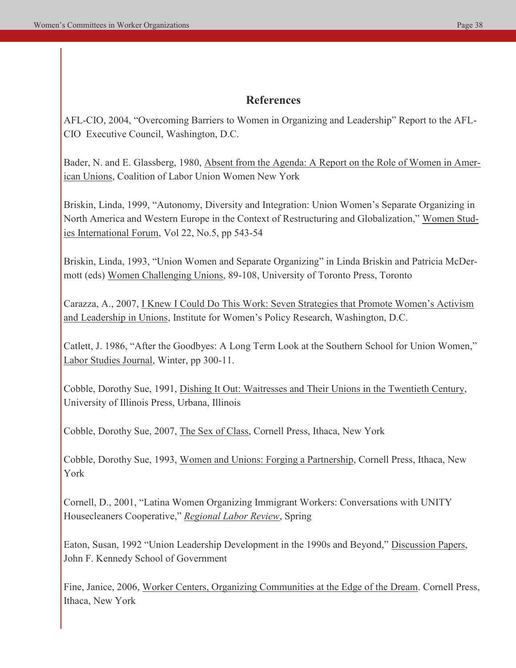# **References**

AFL-CIO, 2004, "Overcoming Barriers to Women in Organizing and Leadership" Report to the AFL-CIO Executive Council, Washington, D.C.

Bader, N. and E. Glassberg, 1980, Absent from the Agenda: A Report on the Role of Women in American Unions, Coalition of Labor Union Women New York

Briskin, Linda, 1999, "Autonomy, Diversity and Integration: Union Women's Separate Organizing in North America and Western Europe in the Context of Restructuring and Globalization," Women Studies International Forum, Vol 22, No.5, pp 543-54

Briskin, Linda, 1993, "Union Women and Separate Organizing" in Linda Briskin and Patricia McDermott (eds) Women Challenging Unions, 89-108, University of Toronto Press, Toronto

Carazza, A., 2007, I Knew I Could Do This Work: Seven Strategies that Promote Women's Activism and Leadership in Unions, Institute for Women's Policy Research, Washington, D.C.

Catlett, J. 1986, "After the Goodbyes: A Long Term Look at the Southern School for Union Women," Labor Studies Journal, Winter, pp 300-11.

Cobble, Dorothy Sue, 1991, Dishing It Out: Waitresses and Their Unions in the Twentieth Century, University of Illinois Press, Urbana, Illinois

Cobble, Dorothy Sue, 2007, The Sex of Class, Cornell Press, Ithaca, New York

Cobble, Dorothy Sue, 1993, Women and Unions: Forging a Partnership, Cornell Press, Ithaca, New York

Cornell, D., 2001, "Latina Women Organizing Immigrant Workers: Conversations with UNITY Housecleaners Cooperative," *Regional Labor Review*, Spring

Eaton, Susan, 1992 "Union Leadership Development in the 1990s and Beyond," Discussion Papers, John F. Kennedy School of Government

Fine, Janice, 2006, Worker Centers, Organizing Communities at the Edge of the Dream. Cornell Press, Ithaca, New York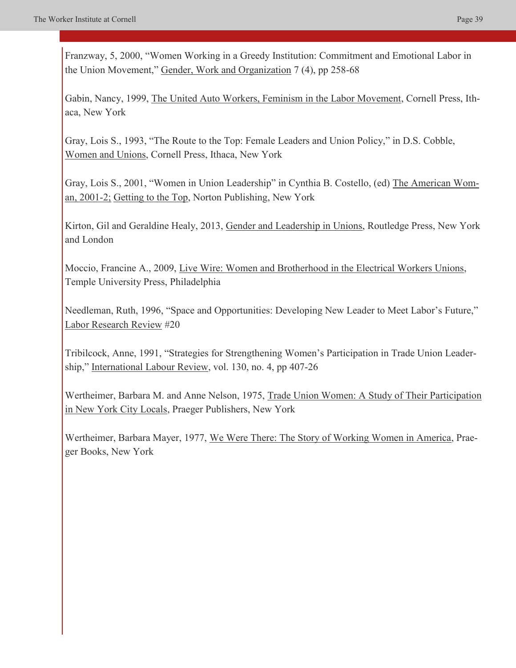Franzway, 5, 2000, "Women Working in a Greedy Institution: Commitment and Emotional Labor in the Union Movement," Gender, Work and Organization 7 (4), pp 258-68

Gabin, Nancy, 1999, The United Auto Workers, Feminism in the Labor Movement, Cornell Press, Ithaca, New York

Gray, Lois S., 1993, "The Route to the Top: Female Leaders and Union Policy," in D.S. Cobble, Women and Unions, Cornell Press, Ithaca, New York

Gray, Lois S., 2001, "Women in Union Leadership" in Cynthia B. Costello, (ed) The American Woman, 2001-2; Getting to the Top, Norton Publishing, New York

Kirton, Gil and Geraldine Healy, 2013, Gender and Leadership in Unions, Routledge Press, New York and London

Moccio, Francine A., 2009, Live Wire: Women and Brotherhood in the Electrical Workers Unions, Temple University Press, Philadelphia

Needleman, Ruth, 1996, "Space and Opportunities: Developing New Leader to Meet Labor's Future," Labor Research Review #20

Tribilcock, Anne, 1991, "Strategies for Strengthening Women's Participation in Trade Union Leadership," International Labour Review, vol. 130, no. 4, pp 407-26

Wertheimer, Barbara M. and Anne Nelson, 1975, Trade Union Women: A Study of Their Participation in New York City Locals, Praeger Publishers, New York

Wertheimer, Barbara Mayer, 1977, We Were There: The Story of Working Women in America, Praeger Books, New York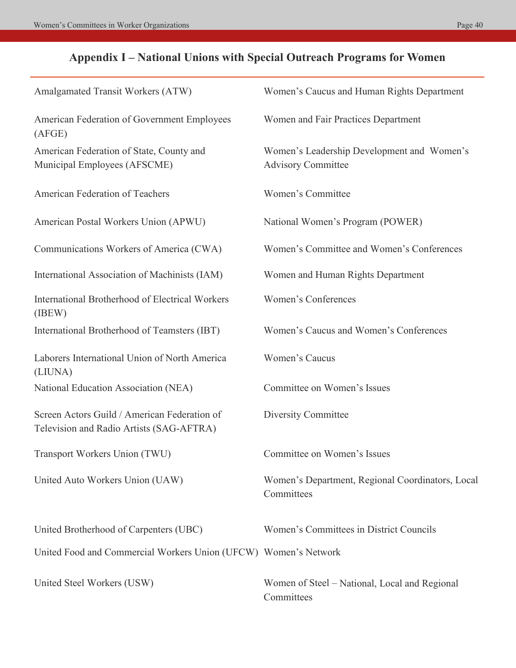# **Appendix I – National Unions with Special Outreach Programs for Women**

| Amalgamated Transit Workers (ATW)                                                        | Women's Caucus and Human Rights Department                              |
|------------------------------------------------------------------------------------------|-------------------------------------------------------------------------|
| American Federation of Government Employees<br>(AFGE)                                    | Women and Fair Practices Department                                     |
| American Federation of State, County and<br>Municipal Employees (AFSCME)                 | Women's Leadership Development and Women's<br><b>Advisory Committee</b> |
| American Federation of Teachers                                                          | Women's Committee                                                       |
| American Postal Workers Union (APWU)                                                     | National Women's Program (POWER)                                        |
| Communications Workers of America (CWA)                                                  | Women's Committee and Women's Conferences                               |
| International Association of Machinists (IAM)                                            | Women and Human Rights Department                                       |
| <b>International Brotherhood of Electrical Workers</b><br>(IBEW)                         | <b>Women's Conferences</b>                                              |
| International Brotherhood of Teamsters (IBT)                                             | Women's Caucus and Women's Conferences                                  |
| Laborers International Union of North America<br>(LIUNA)                                 | Women's Caucus                                                          |
| National Education Association (NEA)                                                     | Committee on Women's Issues                                             |
| Screen Actors Guild / American Federation of<br>Television and Radio Artists (SAG-AFTRA) | Diversity Committee                                                     |
| Transport Workers Union (TWU)                                                            | Committee on Women's Issues                                             |
| United Auto Workers Union (UAW)                                                          | Women's Department, Regional Coordinators, Local<br>Committees          |
| United Brotherhood of Carpenters (UBC)                                                   | Women's Committees in District Councils                                 |
| United Food and Commercial Workers Union (UFCW) Women's Network                          |                                                                         |
| United Steel Workers (USW)                                                               | Women of Steel – National, Local and Regional<br>Committees             |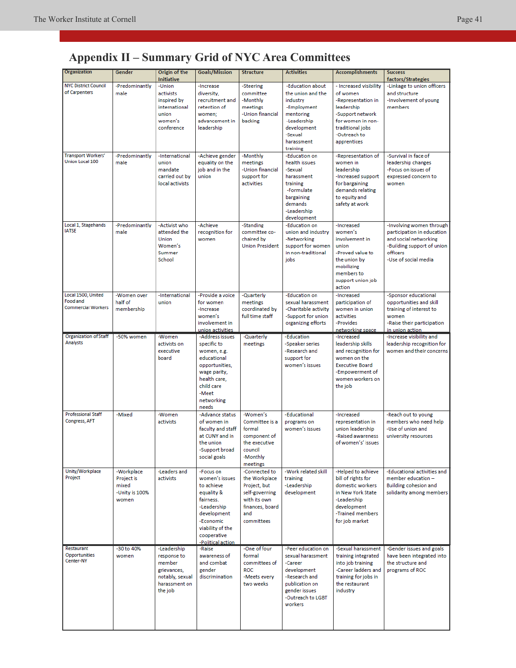# **Appendix II – Summary Grid of NYC Area Committees**

| Organization                                                | Gender                                                       | Origin of the<br><b>Initiative</b>                                                                 | <b>Goals/Mission</b>                                                                                                                                                    | Structure                                                                                                                | <b>Activities</b>                                                                                                                                     | <b>Accomplishments</b>                                                                                                                                             | <b>Success</b><br>factors/Strategies                                                                                                              |
|-------------------------------------------------------------|--------------------------------------------------------------|----------------------------------------------------------------------------------------------------|-------------------------------------------------------------------------------------------------------------------------------------------------------------------------|--------------------------------------------------------------------------------------------------------------------------|-------------------------------------------------------------------------------------------------------------------------------------------------------|--------------------------------------------------------------------------------------------------------------------------------------------------------------------|---------------------------------------------------------------------------------------------------------------------------------------------------|
| <b>NYC District Council</b><br>of Carpenters                | -Predominantly<br>male                                       | -Union<br>activists<br>inspired by<br>international<br>union<br>women's<br>conference              | -Increase<br>diversity,<br>recruitment and<br>retention of<br>women:<br>advancement in<br>leadership                                                                    | -Steering<br>committee<br>-Monthly<br>meetings<br>-Union financial<br>backing                                            | -Education about<br>the union and the<br>industry<br>-Employment<br>mentoring<br>-Leadership<br>development<br>-Sexual<br>harassment<br>training      | - Increased visibility<br>of women<br>-Representation in<br>leadership<br>-Support network<br>for women in non-<br>traditional jobs<br>-Outreach to<br>apprentices | -Linkage to union officers<br>and structure<br>-Involvement of young<br>members                                                                   |
| <b>Transport Workers'</b><br><b>Union Local 100</b>         | -Predominantly<br>male                                       | -International<br>union<br>mandate<br>carried out by<br>local activists                            | -Achieve gender<br>equality on the<br>iob and in the<br>union                                                                                                           | -Monthly<br>meetings<br>-Union financial<br>support for<br>activities                                                    | -Education on<br>health issues<br>-Sexual<br>harassment<br>training<br>-Formulate<br>bargaining<br>demands<br>-Leadership<br>development              | -Representation of<br>women in<br>leadership<br>-Increased support<br>for bargaining<br>demands relating<br>to equity and<br>safety at work                        | -Survival in face of<br>leadership changes<br>-Focus on issues of<br>expressed concern to<br>women                                                |
| Local 1, Stagehands<br><b>IATSE</b>                         | -Predominantly<br>male                                       | -Activist who<br>attended the<br><b>Union</b><br>Women's<br>Summer<br>School                       | -Achieve<br>recognition for<br>women                                                                                                                                    | -Standing<br>committee co-<br>chaired by<br><b>Union President</b>                                                       | -Education on<br>union and industry<br>-Networking<br>support for women<br>in non-traditional<br>jobs                                                 | -Increased<br>women's<br>involvement in<br>union<br>-Proved value to<br>the union by<br>mobilizing<br>members to<br>support union job<br>action                    | -Involving women through<br>participation in education<br>and social networking<br>-Building support of union<br>officers<br>-Use of social media |
| Local 1500, United<br>Food and<br><b>Commercial Workers</b> | -Women over<br>half of<br>membership                         | -International<br>union                                                                            | -Provide a voice<br>for women<br>-Increase<br>women's<br>involvement in<br>union activities                                                                             | -Quarterly<br>meetings<br>coordinated by<br>full time staff                                                              | -Education on<br>sexual harassment<br>-Charitable activity<br>-Support for union<br>organizing efforts                                                | -Increased<br>participation of<br>women in union<br>activities<br>-Provides<br>networking space                                                                    | -Sponsor educational<br>opportunities and skill<br>training of interest to<br>women<br>-Raise their participation<br>in union action              |
| <b>Organization of Staff</b><br>Analysts                    | -50% women                                                   | -Women<br>activists on<br>executive<br>board                                                       | -Address issues<br>specific to<br>women, e.g.<br>educational<br>opportunities,<br>wage parity,<br>health care,<br>child care<br>-Meet<br>networking<br>needs            | -Quarterly<br>meetings                                                                                                   | -Education<br>-Speaker series<br>-Research and<br>support for<br>women's issues                                                                       | -Increased<br>leadership skills<br>and recognition for<br>women on the<br><b>Executive Board</b><br>-Empowerment of<br>women workers on<br>the job                 | -Increase visibility and<br>leadership recognition for<br>women and their concerns                                                                |
| <b>Professional Staff</b><br>Congress, AFT                  | -Mixed                                                       | -Women<br>activists                                                                                | -Advance status<br>of women in<br>faculty and staff<br>at CUNY and in<br>the union<br>-Support broad<br>social goals                                                    | -Women's<br>Committee is a<br>formal<br>component of<br>the executive<br>council<br>-Monthly<br>meetings                 | -Educational<br>programs on<br>women's issues                                                                                                         | -Increased<br>representation in<br>union leadership<br>-Raised awareness<br>of women's' issues                                                                     | -Reach out to young<br>members who need help<br>-Use of union and<br>university resources                                                         |
| Unity/Workplace<br>Project                                  | -Workplace<br>Project is<br>mixed<br>-Unity is 100%<br>women | -Leaders and<br>activists                                                                          | -Focus on<br>women's issues<br>to achieve<br>equality &<br>fairness.<br>-Leadership<br>development<br>-Economic<br>viability of the<br>cooperative<br>-Political action | -Connected to<br>the Workplace<br>Project, but<br>self-governing<br>with its own<br>finances, board<br>and<br>committees | -Work related skill<br>training<br>-Leadership<br>development                                                                                         | -Helped to achieve<br>bill of rights for<br>domestic workers<br>in New York State<br>-Leadership<br>development<br>-Trained members<br>for job market              | -Educational activities and<br>member education -<br><b>Building cohesion and</b><br>solidarity among members                                     |
| Restaurant<br>Opportunities<br>Center-NY                    | -30 to 40%<br>women                                          | -Leadership<br>response to<br>member<br>grievances,<br>notably, sexual<br>harassment on<br>the job | -Raise<br>awareness of<br>and combat<br>gender<br>discrimination                                                                                                        | -One of four<br>formal<br>committees of<br><b>ROC</b><br>-Meets every<br>two weeks                                       | -Peer education on<br>sexual harassment<br>-Career<br>development<br>-Research and<br>publication on<br>gender issues<br>-Outreach to LGBT<br>workers | -Sexual harassment<br>training integrated<br>into job training<br>-Career ladders and<br>training for jobs in<br>the restaurant<br>industry                        | -Gender issues and goals<br>have been integrated into<br>the structure and<br>programs of ROC                                                     |